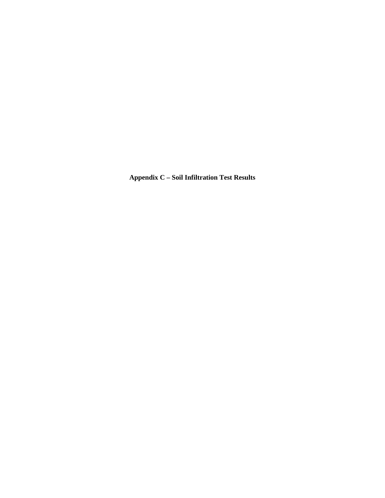**Appendix C – Soil Infiltration Test Results**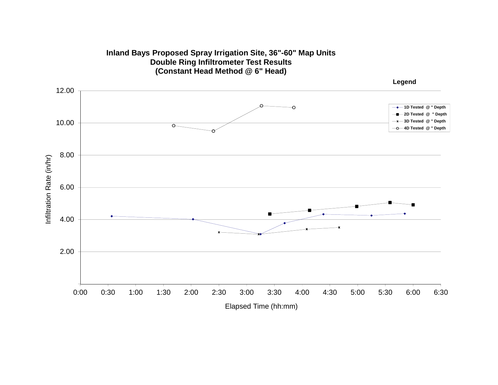

# **Inland Bays Proposed Spray Irrigation Site, 36"-60" Map Units Double Ring Infiltrometer Test Results**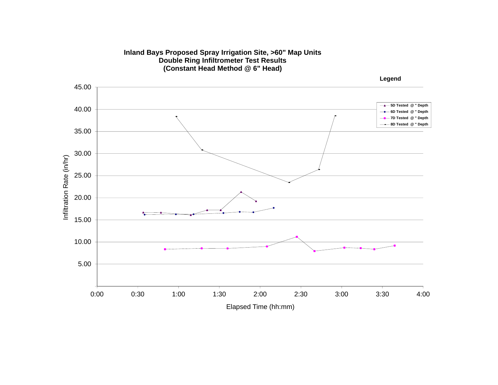

### **Inland Bays Proposed Spray Irrigation Site, >60" Map Units Double Ring Infiltrometer Test Results**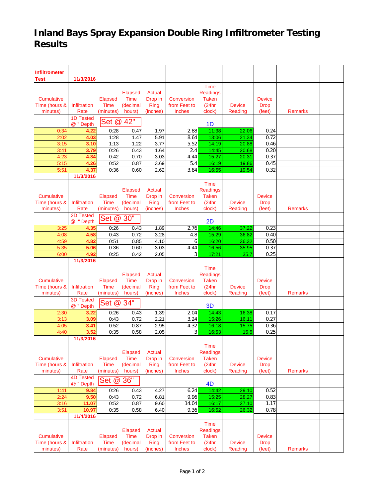## **Inland Bays Spray Expansion Double Ring Infiltrometer Testing Results**

| <b>Infiltrometer</b> |                               |                |              |               |                |                 |                |               |                |  |
|----------------------|-------------------------------|----------------|--------------|---------------|----------------|-----------------|----------------|---------------|----------------|--|
| Test                 | 11/3/2016                     |                |              |               |                |                 |                |               |                |  |
|                      |                               |                |              |               |                | Time            |                |               |                |  |
|                      |                               |                | Elapsed      | <b>Actual</b> |                | <b>Readings</b> |                |               |                |  |
| <b>Cumulative</b>    |                               | Elapsed        | Time         | Drop in       | Conversion     | <b>Taken</b>    |                | <b>Device</b> |                |  |
| Time (hours &        | Infiltration                  | Time           | (decimal     | <b>Ring</b>   | from Feet to   | (24hr           | <b>Device</b>  | <b>Drop</b>   |                |  |
| minutes)             | Rate                          | (minutes)      | hours)       | (inches)      | Inches         | clock)          | Reading        | (feet)        | <b>Remarks</b> |  |
|                      | 1D Tested                     | Set @          | 42"          |               |                |                 |                |               |                |  |
|                      | @ "Depth                      |                |              |               |                | 1 <sub>D</sub>  |                |               |                |  |
| 0:34                 | 4.22                          | 0:28           | 0.47         | 1.97          | 2.88           | 11:38           | 22.06          | 0.24          |                |  |
| 2:02                 | 4.03                          | 1:28<br>1:13   | 1.47         | 5.91          | 8.64           | 13:06           | 21.34          | 0.72          |                |  |
| 3:15<br>3:41         | 3.10<br>3.79                  | 0:26           | 1.22<br>0.43 | 3.77<br>1.64  | 5.52<br>2.4    | 14:19<br>14:45  | 20.88<br>20.68 | 0.46<br>0.20  |                |  |
| 4:23                 | 4.34                          | 0:42           | 0.70         | 3.03          | 4.44           | 15:27           | 20.31          | 0.37          |                |  |
| 5:15                 | 4.26                          | 0:52           | 0.87         | 3.69          | 5.4            | 16:19           | 19.86          | 0.45          |                |  |
| 5:51                 | 4.37                          | 0:36           | 0.60         | 2.62          | 3.84           | 16:55           | 19.54          | 0.32          |                |  |
|                      | 11/3/2016                     |                |              |               |                |                 |                |               |                |  |
|                      |                               |                |              |               |                | Time            |                |               |                |  |
|                      |                               |                | Elapsed      | <b>Actual</b> |                | Readings        |                |               |                |  |
| <b>Cumulative</b>    |                               | Elapsed        | Time         | Drop in       | Conversion     | <b>Taken</b>    |                | <b>Device</b> |                |  |
| Time (hours &        | Infiltration                  | Time           | (decimal     | Ring          | from Feet to   | (24hr           | <b>Device</b>  | <b>Drop</b>   |                |  |
| minutes)             | Rate                          | (minutes)      | hours)       | (inches)      | Inches         | clock)          | Reading        | (feet)        | <b>Remarks</b> |  |
|                      | 2D Tested                     | Set @          | 30"          |               |                | 2D              |                |               |                |  |
| 3:25                 | $^{\circ}$<br>" Depth<br>4.35 | 0:26           | 0.43         | 1.89          | 2.76           | 14:46           | 37.22          | 0.23          |                |  |
| 4:08                 | 4.58                          | 0:43           | 0.72         | 3.28          | 4.8            | 15:29           | 36.82          | 0.40          |                |  |
| 4:59                 | 4.82                          | 0:51           | 0.85         | 4.10          | 6              | 16:20           | 36.32          | 0.50          |                |  |
| 5:35                 | 5.06                          | 0:36           | 0.60         | 3.03          | 4.44           | 16:56           | 35.95          | 0.37          |                |  |
| 6:00                 | 4.92                          | 0:25           | 0.42         | 2.05          | $\overline{3}$ | 17:21           | 35.7           | 0.25          |                |  |
|                      | 11/3/2016                     |                |              |               |                |                 |                |               |                |  |
|                      |                               |                |              |               |                | <b>Time</b>     |                |               |                |  |
|                      |                               |                | Elapsed      | <b>Actual</b> |                | <b>Readings</b> |                |               |                |  |
| Cumulative           |                               | Elapsed        | <b>Time</b>  | Drop in       | Conversion     | <b>Taken</b>    |                | <b>Device</b> |                |  |
| Time (hours &        | Infiltration                  | <b>Time</b>    | (decimal     | Ring          | from Feet to   | (24hr           | <b>Device</b>  | <b>Drop</b>   |                |  |
| minutes)             | Rate                          | (minutes)      | hours)       | (inches)      | <b>Inches</b>  | clock)          | Reading        | (feet)        | <b>Remarks</b> |  |
|                      | <b>3D Tested</b>              | Set @          | 34"          |               |                |                 |                |               |                |  |
|                      | @ " Depth                     |                |              |               |                | 3 <sub>D</sub>  |                |               |                |  |
| 2:30                 | 3.22                          | 0:26           | 0.43<br>0.72 | 1.39          | 2.04           | 14:43<br>15:26  | 16.38          | 0.17<br>0.27  |                |  |
| 3:13<br>4:05         | 3.09<br>3.41                  | 0:43<br>0:52   | 0.87         | 2.21<br>2.95  | 3.24<br>4.32   | 16:18           | 16.11<br>15.75 | 0.36          |                |  |
| 4:40                 | 3.52                          | 0:35           | 0.58         | 2.05          | 3              | 16:53           | 15.5           | 0.25          |                |  |
|                      | 11/3/2016                     |                |              |               |                |                 |                |               |                |  |
|                      |                               |                |              |               |                | <b>Time</b>     |                |               |                |  |
|                      |                               |                | Elapsed      | <b>Actual</b> |                | <b>Readings</b> |                |               |                |  |
| Cumulative           |                               | Elapsed        | Time         | Drop in       | Conversion     | <b>Taken</b>    |                | <b>Device</b> |                |  |
| Time (hours &        | Infiltration                  | <b>Time</b>    | (decimal     | <b>Ring</b>   | from Feet to   | (24hr           | <b>Device</b>  | <b>Drop</b>   |                |  |
| minutes)             | Rate                          | (minutes)      | hours)       | (inches)      | Inches         | clock)          | Reading        | (feet)        | <b>Remarks</b> |  |
|                      | <b>4D Tested</b>              | Set @          | 36"          |               |                |                 |                |               |                |  |
|                      | @ "Depth                      |                |              |               |                | 4 <sub>D</sub>  |                |               |                |  |
| 1:41                 | 9.84                          | 0:26           | 0.43         | 4.27          | 6.24           | 14:42           | 29.10          | 0.52          |                |  |
| 2:24                 | 9.50                          | 0:43           | 0.72         | 6.81          | 9.96           | 15:25           | 28.27          | 0.83          |                |  |
| 3:16                 | 11.07                         | 0:52<br>0:35   | 0.87<br>0.58 | 9.60<br>6.40  | 14.04<br>9.36  | 16:17<br>16:52  | 27.10<br>26.32 | 1.17<br>0.78  |                |  |
| 3:51                 | 10.97<br>11/4/2016            |                |              |               |                |                 |                |               |                |  |
|                      |                               |                |              |               |                | Time            |                |               |                |  |
|                      |                               |                | Elapsed      | <b>Actual</b> |                | <b>Readings</b> |                |               |                |  |
| <b>Cumulative</b>    |                               | <b>Elapsed</b> | Time         | Drop in       | Conversion     | <b>Taken</b>    |                | <b>Device</b> |                |  |
| Time (hours &        | Infiltration                  | Time           | (decimal     | <b>Ring</b>   | from Feet to   | (24hr           | <b>Device</b>  | <b>Drop</b>   |                |  |
| minutes)             | Rate                          | (minutes)      | hours)       | (inches)      | Inches         | clock)          | Reading        | (feet)        | <b>Remarks</b> |  |
|                      |                               |                |              |               |                |                 |                |               |                |  |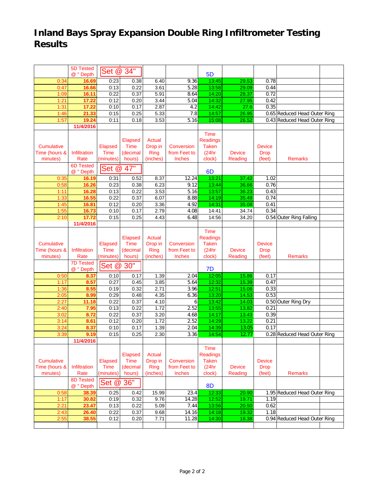## **Inland Bays Spray Expansion Double Ring Infiltrometer Testing Results**

|                   | 5D Tested        | Set @ 34"   |              |               |              |                 |               |               |                              |  |
|-------------------|------------------|-------------|--------------|---------------|--------------|-----------------|---------------|---------------|------------------------------|--|
|                   | @ "Depth         |             |              |               |              | 5 <sub>D</sub>  |               |               |                              |  |
| 0:34              | 16.69            | 0:23        | 0.38         | 6.40          | 9.36         | 13:45           | 29.53         | 0.78          |                              |  |
| 0:47              | 16.66            | 0:13        | 0.22         | 3.61          | 5.28         | 13:58           | 29.09         | 0.44          |                              |  |
| 1:09              | 16.11            | 0:22        | 0.37         | 5.91          | 8.64         | 14:20           | 28.37         | 0.72          |                              |  |
| 1:21              | 17.22            | 0:12        | 0.20         | 3.44          | 5.04         | 14:32           | 27.95         | 0.42          |                              |  |
| 1:31              | 17.22            | 0:10        | 0.17         | 2.87          | 4.2          | 14:42           | 27.6          | 0.35          |                              |  |
| 1:46              | 21.33            | 0:15        | 0.25         | 5.33          | 7.8          | 14:57           | 26.95         |               | 0.65 Reduced Head Outer Ring |  |
| 1:57              | 19.24            | 0:11        | 0.18         | 3.53          | 5.16         | 15:08           | 26.52         |               | 0.43 Reduced Head Outer Ring |  |
|                   | 11/4/2016        |             |              |               |              |                 |               |               |                              |  |
|                   |                  |             |              |               |              | <b>Time</b>     |               |               |                              |  |
|                   |                  |             | Elapsed      | <b>Actual</b> |              | <b>Readings</b> |               |               |                              |  |
| <b>Cumulative</b> |                  | Elapsed     | <b>Time</b>  | Drop in       | Conversion   | <b>Taken</b>    |               | <b>Device</b> |                              |  |
| Time (hours &     | Infiltration     | Time        | (decimal     | <b>Ring</b>   | from Feet to | (24hr           | <b>Device</b> | <b>Drop</b>   |                              |  |
| minutes)          | Rate             | (minutes)   | hours)       | (inches)      | Inches       | clock)          | Reading       | (feet)        | <b>Remarks</b>               |  |
|                   | <b>6D Tested</b> | Set @ 47"   |              |               |              |                 |               |               |                              |  |
|                   | @ "Depth         |             |              |               |              | 6 <sub>D</sub>  |               |               |                              |  |
| 0:35              | 16.19            | 0:31        | 0.52         | 8.37          | 12.24        | 13:21           | 37.42         | 1.02          |                              |  |
| 0:58              | 16.26            | 0:23        | 0.38         | 6.23          | 9.12         | 13:44           | 36.66         | 0.76          |                              |  |
| 1:11              | 16.28            | 0:13        | 0.22         | 3.53          | 5.16         | 13:57           | 36.23         | 0.43          |                              |  |
| 1:33              | 16.55            | 0:22        | 0.37         | 6.07          | 8.88         | 14:19           | 35.49         | 0.74          |                              |  |
| 1:45              | 16.81            | 0:12        | 0.20         | 3.36          | 4.92         | 14:31           | 35.08         | 0.41          |                              |  |
| 1:55              | 16.73            | 0:10        | 0.17         | 2.79          | 4.08         | 14:41           | 34.74         | 0.34          |                              |  |
| 2:10              | 17.72            | 0:15        | 0.25         | 4.43          | 6.48         | 14:56           | 34.20         |               | 0.54 Outer Ring Falling      |  |
|                   | 11/4/2016        |             |              |               |              |                 |               |               |                              |  |
|                   |                  |             |              |               |              | <b>Time</b>     |               |               |                              |  |
|                   |                  |             | Elapsed      | Actual        |              | <b>Readings</b> |               |               |                              |  |
| Cumulative        |                  | Elapsed     | <b>Time</b>  | Drop in       | Conversion   | <b>Taken</b>    |               | <b>Device</b> |                              |  |
| Time (hours &     | Infiltration     | <b>Time</b> | (decimal     | Ring          | from Feet to | (24hr           | <b>Device</b> | <b>Drop</b>   |                              |  |
| minutes)          | Rate             | (minutes)   | hours)       | (inches)      | Inches       | clock)          | Reading       | (feet)        | <b>Remarks</b>               |  |
|                   | <b>7D Tested</b> | Set @ 30"   |              |               |              |                 |               |               |                              |  |
|                   | @ "Depth         |             |              |               |              | 7D              |               |               |                              |  |
| 0:50              | 8.37             | 0:10        | 0.17         | 1.39          | 2.04         | 12:05           | 15.86         | 0.17          |                              |  |
| 1:17              | 8.57             | 0:27        | 0.45         | 3.85          | 5.64         | 12:32           | 15.39         | 0.47          |                              |  |
| 1:36              | 8.55             | 0:19        | 0.32         | 2.71          | 3.96         | 12:51           | 15.06         | 0.33          |                              |  |
| 2:05              | 8.99             | 0:29        | 0.48         | 4.35          | 6.36         | 13:20           | 14.53         | 0.53          |                              |  |
| 2:27              | 11.18            | 0:22        | 0.37         | 4.10          | 6            | 13:42           | 14.03         |               | 0.50 Outer Ring Dry          |  |
| 2:40              | 7.95             | 0:13        | 0.22         | 1.72          | 2.52         | 13:55           | 13.82         | 0.21          |                              |  |
| 3:02              | 8.72             | 0:22        | 0.37         | 3.20          | 4.68         | 14:17           | 13.43         | 0.39          |                              |  |
| 3:14              | 8.61             | 0:12        | 0.20         | 1.72          | 2.52         | 14:29           | 13.22         | 0.21          |                              |  |
| 3:24              | 8.37             | 0:10        | 0.17<br>0.25 | 1.39          | 2.04         | 14:39           | 13.05         | 0.17          | 0.28 Reduced Head Outer Ring |  |
| 3:39              | 9.19             | 0:15        |              |               |              |                 |               |               |                              |  |
|                   |                  |             |              | 2.30          | 3.36         | 14:54           | 12.77         |               |                              |  |
|                   | 11/4/2016        |             |              |               |              |                 |               |               |                              |  |
|                   |                  |             |              |               |              | Time            |               |               |                              |  |
|                   |                  |             | Elapsed      | Actual        |              | Readings        |               |               |                              |  |
| Cumulative        |                  | Elapsed     | <b>Time</b>  | Drop in       | Conversion   | <b>Taken</b>    |               | <b>Device</b> |                              |  |
| Time (hours &     | Infiltration     | <b>Time</b> | (decimal     | <b>Ring</b>   | from Feet to | (24hr           | <b>Device</b> | <b>Drop</b>   |                              |  |
| minutes)          | Rate             | (minutes)   | hours)       | (inches)      | Inches       | clock)          | Reading       | (feet)        | <b>Remarks</b>               |  |
|                   | 8D Tested        | Set @       | 36"          |               |              |                 |               |               |                              |  |
|                   | @ " Depth        |             |              |               |              | <b>8D</b>       |               |               |                              |  |
| 0:58              | 38.39            | 0:25        | 0.42         | 15.99         | 23.4         | 12:33           | 20.90         |               | 1.95 Reduced Head Outer Ring |  |
| 1:17              | 30.82            | 0:19        | 0.32         | 9.76          | 14.28        | 12:52           | 19.71         | 1.19          |                              |  |
| 2:21              | 23.47            | 0:13        | 0.22         | 5.09          | 7.44         | 13:56           | 20.50         | 0.62          |                              |  |
| 2:43              | 26.40            | 0:22        | 0.37         | 9.68          | 14.16        | 14:18           | 19.32         | 1.18          |                              |  |
| 2:55              | 38.55            | 0:12        | 0.20         | 7.71          | 11.28        | 14:30           | 18.38         |               | 0.94 Reduced Head Outer Ring |  |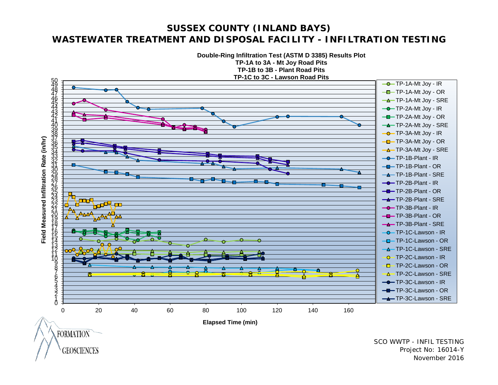### **SUSSEX COUNTY (INLAND BAYS) WASTEWATER TREATMENT AND DISPOSAL FACILITY - INFILTRATION TESTING**

**Double-Ring Infiltration Test (ASTM D 3385) Results Plot**



**GEOSCIENCES** 

SCO WWTP - INFIL TESTING Project No: 16014-Y November 2016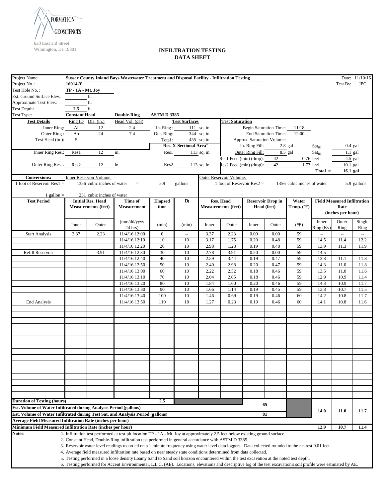

| Project Name:                                                                   |                      | Sussex County Inland Bays Wastewater Treatment and Disposal Facility - Infiltration Testing<br>Date: 11/10/16 |                                                                                                                                                                   |                    |                                    |               |                              |                  |                               |                            |                            |                                    |                  |
|---------------------------------------------------------------------------------|----------------------|---------------------------------------------------------------------------------------------------------------|-------------------------------------------------------------------------------------------------------------------------------------------------------------------|--------------------|------------------------------------|---------------|------------------------------|------------------|-------------------------------|----------------------------|----------------------------|------------------------------------|------------------|
| Project No.:                                                                    | 16014-Y              |                                                                                                               |                                                                                                                                                                   |                    |                                    |               |                              |                  |                               |                            |                            |                                    | Test By: JPC     |
| Test Hole No.:                                                                  | TP - 1A - Mt. Joy    |                                                                                                               |                                                                                                                                                                   |                    |                                    |               |                              |                  |                               |                            |                            |                                    |                  |
| Est. Ground Surface Elev.:                                                      |                      | ft.                                                                                                           |                                                                                                                                                                   |                    |                                    |               |                              |                  |                               |                            |                            |                                    |                  |
| Approximate Test Elev.:                                                         |                      | ft.                                                                                                           |                                                                                                                                                                   |                    |                                    |               |                              |                  |                               |                            |                            |                                    |                  |
| Test Depth:                                                                     | $2.5\,$              | ft.                                                                                                           |                                                                                                                                                                   |                    |                                    |               |                              |                  |                               |                            |                            |                                    |                  |
| Test Type:                                                                      | <b>Constant Head</b> |                                                                                                               | <b>Double-Ring</b>                                                                                                                                                | <b>ASTM D 3385</b> |                                    |               |                              |                  |                               |                            |                            |                                    |                  |
| <b>Test Details</b>                                                             |                      | Ring ID Dia. (in.)                                                                                            | Head Vol. (gal)                                                                                                                                                   |                    | <b>Test Surfaces</b>               |               | <b>Test Saturation</b>       |                  |                               |                            |                            |                                    |                  |
| Inner Ring:                                                                     | Ai                   | 12                                                                                                            | 2.4                                                                                                                                                               | In. $Ring:$        |                                    | $111$ sq. in. |                              |                  | <b>Begin Saturation Time:</b> | 11:18                      |                            |                                    |                  |
| Outer Ring:                                                                     | Ao                   | 24                                                                                                            | 7.4                                                                                                                                                               | Out. Ring:         |                                    | 344 sq. in.   |                              |                  | End Saturation Time:          | 12:00                      |                            |                                    |                  |
| Test Head (in.):                                                                | $\overline{5}$       |                                                                                                               |                                                                                                                                                                   | Total:             |                                    | $455$ sq. in. |                              |                  | Approx. Saturation Volume:    |                            |                            |                                    |                  |
|                                                                                 |                      |                                                                                                               |                                                                                                                                                                   |                    | Res. X-Sectional Area <sup>3</sup> |               |                              | In. Ring Fill:   |                               | 2.8 gal                    | Sat <sub>fill</sub>        |                                    | $0.4$ gal        |
| Inner Ring Res.:                                                                | Res1                 | 12                                                                                                            | in.                                                                                                                                                               |                    | Res1 113 sq. in.                   |               |                              | Outer Ring Fill: |                               | $8.5$ gal                  | $\text{Sat}_{\text{fill}}$ |                                    | $1.1$ gal        |
|                                                                                 |                      |                                                                                                               |                                                                                                                                                                   |                    |                                    |               | Res1 Feed (min) (drop):      |                  | 42                            |                            | $0.76$ feet =              |                                    | 4.5 gal          |
| Outer Ring Res.: Res2                                                           |                      | 12                                                                                                            | in.                                                                                                                                                               |                    | Res2                               | 113 sq. in.   | Res2 Feed (min) (drop):      |                  | 42                            |                            | 1.73 $feet =$              | 10.1 gal                           |                  |
|                                                                                 |                      | Inner Reservoir Volume:                                                                                       |                                                                                                                                                                   |                    |                                    |               | Outer Reservoir Volume:      |                  |                               |                            | $Total =$                  | $16.1$ gal                         |                  |
| <b>Conversions:</b><br>1 foot of Reservoir Res $1 =$                            |                      | 1356 cubic inches of water                                                                                    | $=$                                                                                                                                                               | 5.9                | gallons                            |               | 1 foot of Reservoir $Res2 =$ |                  |                               | 1356 cubic inches of water |                            |                                    | 5.9 gallons      |
|                                                                                 |                      |                                                                                                               |                                                                                                                                                                   |                    |                                    |               |                              |                  |                               |                            |                            |                                    |                  |
| 1 gallon $=$                                                                    |                      | 231 cubic inches of water                                                                                     |                                                                                                                                                                   |                    |                                    |               |                              |                  |                               |                            |                            |                                    |                  |
| <b>Test Period</b>                                                              |                      | <b>Initial Res. Head</b>                                                                                      | Time of                                                                                                                                                           | <b>Elapsed</b>     | Dt                                 |               | Res. Head                    |                  | <b>Reservoir Drop in</b>      | Water                      |                            | <b>Field Measured Infiltration</b> |                  |
|                                                                                 |                      | <b>Measurements (feet)</b>                                                                                    | Measurement                                                                                                                                                       | time               |                                    |               | <b>Measurements (feet)</b>   |                  | Head (feet)                   | Temp. $(^{\circ}F)$        |                            | Rate                               |                  |
|                                                                                 |                      |                                                                                                               |                                                                                                                                                                   |                    |                                    |               |                              |                  |                               |                            |                            | (inches per hour)                  |                  |
|                                                                                 | Inner                | Outer                                                                                                         | (mm/dd/yyyy<br>$24$ hrs)                                                                                                                                          | (min)              | (min)                              | Inner         | Outer                        | Inner            | Outer                         | (°F)                       | Inner<br>Ring (Kv)         | Outer<br>Ring                      | Single           |
| <b>Start Analysis</b>                                                           | 3.37                 | 2.23                                                                                                          | 11/4/16 12:00                                                                                                                                                     | $\boldsymbol{0}$   | $\overline{\phantom{a}}$           | 3.37          | 2.23                         | 0.00             | 0.00                          | 59                         | ш,                         | ÷,                                 | Ring<br>ω.       |
|                                                                                 |                      |                                                                                                               | 11/4/16 12:10                                                                                                                                                     | 10                 | 10                                 | 3.17          | 1.75                         | 0.20             | 0.48                          | 59                         | 14.5                       | 11.4                               | 12.2             |
|                                                                                 |                      |                                                                                                               | 11/4/16 12:20                                                                                                                                                     | 20                 | 10                                 | 2.98          | 1.28                         | 0.19             | 0.48                          | 59                         | 13.9                       | 11.3                               | 11.9             |
| Refill Reservoir                                                                |                      | 3.91                                                                                                          | 11/4/16 12:30                                                                                                                                                     | 30                 | 10                                 | 2.78          | 3.91                         | 0.20             | 0.00                          | 59                         | 14.5                       | $\bar{\phantom{a}}$                | $\omega_{\rm m}$ |
|                                                                                 |                      |                                                                                                               | 11/4/16 12:40                                                                                                                                                     | 40                 | 10                                 | 2.59          | 3.44                         | 0.19             | 0.47                          | 59                         | 13.8                       | 11.1                               | 11.8             |
|                                                                                 |                      |                                                                                                               | 11/4/16 12:50                                                                                                                                                     | 50                 | 10                                 | 2.40          | 2.98                         | 0.20             | 0.47                          | 59                         | 14.3                       | 11.0                               | 11.8             |
|                                                                                 |                      |                                                                                                               | $11/4/16$ 13:00                                                                                                                                                   | 60                 | 10                                 | 2.22          | 2.52                         | 0.18             | 0.46                          | 59                         | 13.5                       | 11.0                               | 11.6             |
|                                                                                 |                      |                                                                                                               | 11/4/16 13:10                                                                                                                                                     | 70                 | 10                                 | 2.04          | 2.05                         | 0.18             | 0.46                          | 59                         | 12.9                       | 10.9                               | 11.4             |
|                                                                                 |                      |                                                                                                               | 11/4/16 13:20                                                                                                                                                     | 80                 | 10                                 | 1.84          | 1.60                         | 0.20             | 0.46                          | 59                         | 14.3                       | 10.9                               | 11.7             |
|                                                                                 |                      |                                                                                                               | 11/4/16 13:30                                                                                                                                                     | 90                 | 10                                 | 1.66          | 1.14                         | 0.19             | 0.45                          | 59                         | 13.8                       | 10.7                               | 11.5             |
|                                                                                 |                      |                                                                                                               | 11/4/16 13:40                                                                                                                                                     | 100                | 10                                 | 1.46          | 0.69                         | 0.19             | 0.46                          | 60                         | 14.2                       | 10.8                               | 11.7             |
| <b>End Analysis</b>                                                             |                      |                                                                                                               | 11/4/16 13:50                                                                                                                                                     | 110                | 10                                 | 1.27          | 0.23                         | 0.19             | 0.46                          | 60                         | 14.1                       | 10.8                               | 11.6             |
|                                                                                 |                      |                                                                                                               |                                                                                                                                                                   |                    |                                    |               |                              |                  |                               |                            |                            |                                    |                  |
|                                                                                 |                      |                                                                                                               |                                                                                                                                                                   |                    |                                    |               |                              |                  |                               |                            |                            |                                    |                  |
|                                                                                 |                      |                                                                                                               |                                                                                                                                                                   |                    |                                    |               |                              |                  |                               |                            |                            |                                    |                  |
|                                                                                 |                      |                                                                                                               |                                                                                                                                                                   |                    |                                    |               |                              |                  |                               |                            |                            |                                    |                  |
|                                                                                 |                      |                                                                                                               |                                                                                                                                                                   |                    |                                    |               |                              |                  |                               |                            |                            |                                    |                  |
|                                                                                 |                      |                                                                                                               |                                                                                                                                                                   |                    |                                    |               |                              |                  |                               |                            |                            |                                    |                  |
|                                                                                 |                      |                                                                                                               |                                                                                                                                                                   |                    |                                    |               |                              |                  |                               |                            |                            |                                    |                  |
|                                                                                 |                      |                                                                                                               |                                                                                                                                                                   |                    |                                    |               |                              |                  |                               |                            |                            |                                    |                  |
|                                                                                 |                      |                                                                                                               |                                                                                                                                                                   |                    |                                    |               |                              |                  |                               |                            |                            |                                    |                  |
|                                                                                 |                      |                                                                                                               |                                                                                                                                                                   |                    |                                    |               |                              |                  |                               |                            |                            |                                    |                  |
|                                                                                 |                      |                                                                                                               |                                                                                                                                                                   |                    |                                    |               |                              |                  |                               |                            |                            |                                    |                  |
|                                                                                 |                      |                                                                                                               |                                                                                                                                                                   |                    |                                    |               |                              |                  |                               |                            |                            |                                    |                  |
|                                                                                 |                      |                                                                                                               |                                                                                                                                                                   |                    |                                    |               |                              |                  |                               |                            |                            |                                    |                  |
|                                                                                 |                      |                                                                                                               |                                                                                                                                                                   |                    |                                    |               |                              |                  |                               |                            |                            |                                    |                  |
| <b>Duration of Testing (hours)</b>                                              |                      |                                                                                                               |                                                                                                                                                                   | 2.5                |                                    |               |                              |                  |                               |                            |                            |                                    |                  |
| Est. Volume of Water Infiltrated during Analysis Period (gallons)               |                      |                                                                                                               |                                                                                                                                                                   |                    |                                    |               |                              |                  | 65                            |                            |                            |                                    |                  |
| Est. Volume of Water Infiltrated during Test Sat. and Analysis Period (gallons) |                      |                                                                                                               |                                                                                                                                                                   |                    |                                    |               |                              |                  | 81                            |                            | 14.0                       | 11.0                               | 11.7             |
| <b>Average Field Measured Infiltration Rate (inches per hour)</b>               |                      |                                                                                                               |                                                                                                                                                                   |                    |                                    |               |                              |                  |                               |                            |                            |                                    |                  |
| Minimum Field Measured Infiltration Rate (inches per hour)                      |                      |                                                                                                               |                                                                                                                                                                   |                    |                                    |               |                              |                  |                               |                            | 12.9                       | 10.7                               | 11.4             |
| Notes:                                                                          |                      |                                                                                                               | 1. Infiltration test performed at test pit location TP - 1A - Mt. Joy at approximately 2.5 feet below existing ground surface.                                    |                    |                                    |               |                              |                  |                               |                            |                            |                                    |                  |
|                                                                                 |                      |                                                                                                               | 2. Constant Head, Double-Ring infiltration test performed in general accordance with ASTM D 3385.                                                                 |                    |                                    |               |                              |                  |                               |                            |                            |                                    |                  |
|                                                                                 |                      |                                                                                                               | 3. Reservoir water level readings recorded on a 1 minute frequency using water level data loggers. Data collected rounded to the nearest 0.01 feet.               |                    |                                    |               |                              |                  |                               |                            |                            |                                    |                  |
|                                                                                 |                      |                                                                                                               | 4. Average field measured infiltration rate based on near steady state conditions determined from data collected.                                                 |                    |                                    |               |                              |                  |                               |                            |                            |                                    |                  |
|                                                                                 |                      |                                                                                                               | 5. Testing performed in a loose density Loamy Sand to Sand soil horizon encountered within the test excavation at the noted test depth.                           |                    |                                    |               |                              |                  |                               |                            |                            |                                    |                  |
|                                                                                 |                      |                                                                                                               | 6. Testing performed for Accent Environmental, L.L.C. (AE). Locations, elevations and descriptive log of the test excavation's soil profile were estimated by AE. |                    |                                    |               |                              |                  |                               |                            |                            |                                    |                  |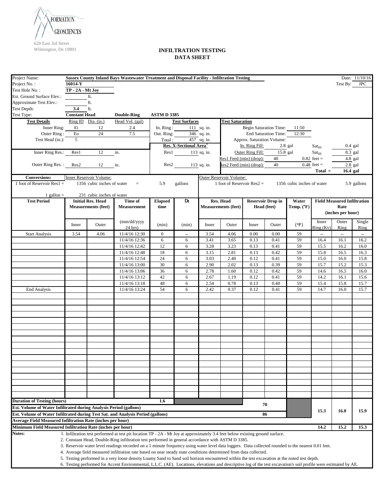

| Project Name:                                                                   |                      |                            | Sussex County Inland Bays Wastewater Treatment and Disposal Facility - Infiltration Testing                                                                       |                  |                                    |               |                              |                  |                               |                            |                            |                                    | Date: 11/10/16 |
|---------------------------------------------------------------------------------|----------------------|----------------------------|-------------------------------------------------------------------------------------------------------------------------------------------------------------------|------------------|------------------------------------|---------------|------------------------------|------------------|-------------------------------|----------------------------|----------------------------|------------------------------------|----------------|
| Project No.:                                                                    | 16014-Y              |                            |                                                                                                                                                                   |                  |                                    |               |                              |                  |                               |                            |                            | Test By: JPC                       |                |
| Test Hole No.:                                                                  | $TP - 2A - Mt$ Joy   |                            |                                                                                                                                                                   |                  |                                    |               |                              |                  |                               |                            |                            |                                    |                |
| Est. Ground Surface Elev.:                                                      |                      | ft.                        |                                                                                                                                                                   |                  |                                    |               |                              |                  |                               |                            |                            |                                    |                |
| Approximate Test Elev.:                                                         |                      | ft.                        |                                                                                                                                                                   |                  |                                    |               |                              |                  |                               |                            |                            |                                    |                |
| Test Depth:                                                                     | 3.4                  | ft.                        |                                                                                                                                                                   |                  |                                    |               |                              |                  |                               |                            |                            |                                    |                |
| Test Type:                                                                      | <b>Constant Head</b> |                            | <b>Double-Ring</b>                                                                                                                                                | <b>ASTMD3385</b> |                                    |               |                              |                  |                               |                            |                            |                                    |                |
| <b>Test Details</b>                                                             |                      | Ring ID Dia. (in.)         | Head Vol. (gal)                                                                                                                                                   |                  | <b>Test Surfaces</b>               |               | <b>Test Saturation</b>       |                  |                               |                            |                            |                                    |                |
| Inner Ring:                                                                     | Ei                   | 12                         | 2.4                                                                                                                                                               | In. $Ring:$      |                                    | $111$ sq. in. |                              |                  | <b>Begin Saturation Time:</b> | 11:50                      |                            |                                    |                |
| Outer Ring:                                                                     | Eo                   | $24\,$                     | 7.5                                                                                                                                                               | Out. Ring:       |                                    | 346 sq. in.   |                              |                  | <b>End Saturation Time:</b>   | 12:30                      |                            |                                    |                |
| Test Head (in.):                                                                | $\overline{5}$       |                            |                                                                                                                                                                   | Total:           |                                    | 457 sq. in.   |                              |                  | Approx. Saturation Volume:    |                            |                            |                                    |                |
|                                                                                 |                      |                            |                                                                                                                                                                   |                  | Res. X-Sectional Area <sup>3</sup> |               |                              | In. Ring Fill:   |                               | $2.8$ gal                  | $\text{Sat}_{\text{fill}}$ |                                    | $0.4$ gal      |
| Inner Ring Res.:                                                                | Res1                 | 12                         | in.                                                                                                                                                               |                  | Res1 113 sq. in.                   |               |                              | Outer Ring Fill: | $15.8$ gal                    |                            | $\text{Sat}_{\text{fill}}$ |                                    | 8.3 gal        |
|                                                                                 |                      |                            |                                                                                                                                                                   |                  |                                    |               | Res1 Feed (min) (drop):      |                  | 40                            |                            | $0.82$ feet =              |                                    | 4.8 gal        |
| Outer Ring Res.: Res2                                                           |                      | 12                         | in.                                                                                                                                                               |                  | Res2                               | 113 sq. in.   | Res2 Feed (min) (drop):      |                  | 40                            |                            | $0.48$ feet =              |                                    | $2.8$ gal      |
| <b>Conversions:</b>                                                             |                      | Inner Reservoir Volume:    |                                                                                                                                                                   |                  |                                    |               | Outer Reservoir Volume:      |                  |                               |                            | $Total =$                  | 16.4 gal                           |                |
| 1 foot of Reservoir Res $1 =$                                                   |                      | 1356 cubic inches of water | $=$                                                                                                                                                               | 5.9              | gallons                            |               | 1 foot of Reservoir $Res2 =$ |                  |                               | 1356 cubic inches of water |                            |                                    | 5.9 gallons    |
|                                                                                 |                      |                            |                                                                                                                                                                   |                  |                                    |               |                              |                  |                               |                            |                            |                                    |                |
| 1 gallon $=$                                                                    |                      | 231 cubic inches of water  |                                                                                                                                                                   |                  |                                    |               |                              |                  |                               |                            |                            |                                    |                |
| <b>Test Period</b>                                                              |                      | <b>Initial Res. Head</b>   | Time of                                                                                                                                                           | <b>Elapsed</b>   | Dt                                 |               | Res. Head                    |                  | <b>Reservoir Drop in</b>      | Water                      |                            | <b>Field Measured Infiltration</b> |                |
|                                                                                 |                      | <b>Measurements (feet)</b> | Measurement                                                                                                                                                       | time             |                                    |               | <b>Measurements (feet)</b>   |                  | Head (feet)                   | Temp. $(^{\circ}F)$        |                            | Rate                               |                |
|                                                                                 |                      |                            |                                                                                                                                                                   |                  |                                    |               |                              |                  |                               |                            |                            | (inches per hour)                  |                |
|                                                                                 | Inner                | Outer                      | (mm/dd/yyyy                                                                                                                                                       | (min)            | (min)                              | Inner         | Outer                        | Inner            | Outer                         | (°F)                       | Inner                      | Outer                              | Single         |
|                                                                                 |                      |                            | $24$ hrs)                                                                                                                                                         |                  |                                    |               |                              |                  |                               |                            | Ring (Kv)                  | Ring                               | Ring           |
| <b>Start Analysis</b>                                                           | 3.54                 | 4.06                       | 11/4/16 12:30                                                                                                                                                     | $\mathbf{0}$     | $\overline{\phantom{a}}$           | 3.54          | 4.06                         | 0.00             | 0.00                          | 59                         | ω.                         | $\bar{\phantom{a}}$                | ω.             |
|                                                                                 |                      |                            | 11/4/16 12:36                                                                                                                                                     | 6                | 6                                  | 3.41          | 3.65                         | 0.13             | 0.41                          | 59                         | 16.4                       | 16.1                               | 16.2           |
|                                                                                 |                      |                            | 11/4/16 12:42                                                                                                                                                     | 12               | 6                                  | 3.28          | 3.23                         | 0.13             | 0.41                          | 59                         | 15.5                       | 16.2                               | 16.0           |
|                                                                                 |                      |                            | 11/4/16 12:48                                                                                                                                                     | 18               | 6                                  | 3.15          | 2.81                         | 0.13             | 0.42                          | 59<br>59                   | 15.8                       | 16.5                               | 16.3           |
|                                                                                 |                      |                            | 11/4/16 12:54<br>11/4/16 13:00                                                                                                                                    | 24<br>30         | 6<br>6                             | 3.03<br>2.90  | 2.40<br>2.02                 | 0.12<br>0.13     | 0.41<br>0.39                  | 59                         | 15.0<br>15.7               | 16.0<br>15.2                       | 15.8<br>15.3   |
|                                                                                 |                      |                            | $11/4/16$ 13:06                                                                                                                                                   | 36               | 6                                  | 2.78          | 1.60                         | 0.12             | 0.42                          | 59                         | 14.6                       | 16.5                               | 16.0           |
|                                                                                 |                      |                            | 11/4/16 13:12                                                                                                                                                     | 42               | 6                                  | 2.67          | 1.19                         | 0.12             | 0.41                          | 59                         | 14.2                       | 16.1                               | 15.6           |
|                                                                                 |                      |                            | 11/4/16 13:18                                                                                                                                                     | 48               | 6                                  | 2.54          | 0.78                         | 0.13             | 0.40                          | 59                         | 15.4                       | 15.8                               | 15.7           |
| <b>End Analysis</b>                                                             |                      |                            | 11/4/16 13:24                                                                                                                                                     | 54               | 6                                  | 2.42          | 0.37                         | 0.12             | 0.41                          | 59                         | 14.7                       | 16.0                               | 15.7           |
|                                                                                 |                      |                            |                                                                                                                                                                   |                  |                                    |               |                              |                  |                               |                            |                            |                                    |                |
|                                                                                 |                      |                            |                                                                                                                                                                   |                  |                                    |               |                              |                  |                               |                            |                            |                                    |                |
|                                                                                 |                      |                            |                                                                                                                                                                   |                  |                                    |               |                              |                  |                               |                            |                            |                                    |                |
|                                                                                 |                      |                            |                                                                                                                                                                   |                  |                                    |               |                              |                  |                               |                            |                            |                                    |                |
|                                                                                 |                      |                            |                                                                                                                                                                   |                  |                                    |               |                              |                  |                               |                            |                            |                                    |                |
|                                                                                 |                      |                            |                                                                                                                                                                   |                  |                                    |               |                              |                  |                               |                            |                            |                                    |                |
|                                                                                 |                      |                            |                                                                                                                                                                   |                  |                                    |               |                              |                  |                               |                            |                            |                                    |                |
|                                                                                 |                      |                            |                                                                                                                                                                   |                  |                                    |               |                              |                  |                               |                            |                            |                                    |                |
|                                                                                 |                      |                            |                                                                                                                                                                   |                  |                                    |               |                              |                  |                               |                            |                            |                                    |                |
|                                                                                 |                      |                            |                                                                                                                                                                   |                  |                                    |               |                              |                  |                               |                            |                            |                                    |                |
|                                                                                 |                      |                            |                                                                                                                                                                   |                  |                                    |               |                              |                  |                               |                            |                            |                                    |                |
|                                                                                 |                      |                            |                                                                                                                                                                   |                  |                                    |               |                              |                  |                               |                            |                            |                                    |                |
|                                                                                 |                      |                            |                                                                                                                                                                   |                  |                                    |               |                              |                  |                               |                            |                            |                                    |                |
|                                                                                 |                      |                            |                                                                                                                                                                   |                  |                                    |               |                              |                  |                               |                            |                            |                                    |                |
|                                                                                 |                      |                            |                                                                                                                                                                   |                  |                                    |               |                              |                  |                               |                            |                            |                                    |                |
|                                                                                 |                      |                            |                                                                                                                                                                   |                  |                                    |               |                              |                  |                               |                            |                            |                                    |                |
| <b>Duration of Testing (hours)</b>                                              |                      |                            |                                                                                                                                                                   | 1.6              |                                    |               |                              |                  |                               |                            |                            |                                    |                |
| Est. Volume of Water Infiltrated during Analysis Period (gallons)               |                      |                            |                                                                                                                                                                   |                  |                                    |               |                              |                  | 70                            |                            |                            |                                    |                |
| Est. Volume of Water Infiltrated during Test Sat. and Analysis Period (gallons) |                      |                            |                                                                                                                                                                   |                  |                                    |               |                              |                  | 86                            |                            | 15.3                       | 16.0                               | 15.9           |
| <b>Average Field Measured Infiltration Rate (inches per hour)</b>               |                      |                            |                                                                                                                                                                   |                  |                                    |               |                              |                  |                               |                            |                            |                                    |                |
| Minimum Field Measured Infiltration Rate (inches per hour)                      |                      |                            |                                                                                                                                                                   |                  |                                    |               |                              |                  |                               |                            | 14.2                       | 15.2                               | 15.3           |
| Notes:                                                                          |                      |                            | 1. Infiltration test performed at test pit location TP - 2A - Mt Joy at approximately 3.4 feet below existing ground surface.                                     |                  |                                    |               |                              |                  |                               |                            |                            |                                    |                |
|                                                                                 |                      |                            | 2. Constant Head, Double-Ring infiltration test performed in general accordance with ASTM D 3385.                                                                 |                  |                                    |               |                              |                  |                               |                            |                            |                                    |                |
|                                                                                 |                      |                            | 3. Reservoir water level readings recorded on a 1 minute frequency using water level data loggers. Data collected rounded to the nearest 0.01 feet.               |                  |                                    |               |                              |                  |                               |                            |                            |                                    |                |
|                                                                                 |                      |                            | 4. Average field measured infiltration rate based on near steady state conditions determined from data collected.                                                 |                  |                                    |               |                              |                  |                               |                            |                            |                                    |                |
|                                                                                 |                      |                            | 5. Testing performed in a very loose density Loamy Sand to Sand soil horizon encountered within the test excavation at the noted test depth.                      |                  |                                    |               |                              |                  |                               |                            |                            |                                    |                |
|                                                                                 |                      |                            | 6. Testing performed for Accent Environmental, L.L.C. (AE). Locations, elevations and descriptive log of the test excavation's soil profile were estimated by AE. |                  |                                    |               |                              |                  |                               |                            |                            |                                    |                |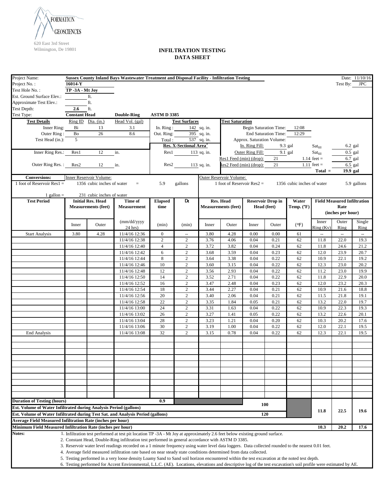

| Project Name:                                                                                           | <b>Sussex County Inland Bays Wastewater Treatment and Disposal Facility - Infiltration Testing</b> |                            |                                                                                                                                                                                                                                                                                                                   |                    |                                    |             |                              |                               |                          |                            |                            |                                    | Date: 11/10/16       |
|---------------------------------------------------------------------------------------------------------|----------------------------------------------------------------------------------------------------|----------------------------|-------------------------------------------------------------------------------------------------------------------------------------------------------------------------------------------------------------------------------------------------------------------------------------------------------------------|--------------------|------------------------------------|-------------|------------------------------|-------------------------------|--------------------------|----------------------------|----------------------------|------------------------------------|----------------------|
| Project No.:                                                                                            | 16014-Y                                                                                            |                            |                                                                                                                                                                                                                                                                                                                   |                    |                                    |             |                              |                               |                          |                            |                            | Test By:                           | <b>JPC</b>           |
| Test Hole No.:                                                                                          | TP -3A - Mt Joy                                                                                    |                            |                                                                                                                                                                                                                                                                                                                   |                    |                                    |             |                              |                               |                          |                            |                            |                                    |                      |
| Est. Ground Surface Elev.:                                                                              |                                                                                                    | ft.                        |                                                                                                                                                                                                                                                                                                                   |                    |                                    |             |                              |                               |                          |                            |                            |                                    |                      |
| Approximate Test Elev.:                                                                                 |                                                                                                    | $\operatorname{ft}$        |                                                                                                                                                                                                                                                                                                                   |                    |                                    |             |                              |                               |                          |                            |                            |                                    |                      |
| Test Depth:                                                                                             | 2.6                                                                                                | ft.                        |                                                                                                                                                                                                                                                                                                                   |                    |                                    |             |                              |                               |                          |                            |                            |                                    |                      |
| Test Type:                                                                                              | <b>Constant Head</b>                                                                               |                            | <b>Double-Ring</b>                                                                                                                                                                                                                                                                                                | <b>ASTM D 3385</b> |                                    |             |                              |                               |                          |                            |                            |                                    |                      |
| <b>Test Details</b>                                                                                     |                                                                                                    | $Ring ID$ $Dia. (in.)$     | Head Vol. (gal)                                                                                                                                                                                                                                                                                                   |                    | <b>Test Surfaces</b>               |             | <b>Test Saturation</b>       |                               |                          |                            |                            |                                    |                      |
| Inner Ring:                                                                                             | Bi                                                                                                 | 13                         | 3.1                                                                                                                                                                                                                                                                                                               | In. $Ring:$        |                                    | 142 sq. in. |                              | <b>Begin Saturation Time:</b> |                          | 12:08                      |                            |                                    |                      |
| Outer Ring:                                                                                             | Bo                                                                                                 | 26                         | 8.6                                                                                                                                                                                                                                                                                                               | Out. Ring:         |                                    | 395 sq. in. |                              |                               | End Saturation Time:     | 12:29                      |                            |                                    |                      |
| Test Head (in.):                                                                                        | 5                                                                                                  |                            |                                                                                                                                                                                                                                                                                                                   | Total:             |                                    | 537 sq. in. |                              | Approx. Saturation Volume:    |                          |                            |                            |                                    |                      |
|                                                                                                         |                                                                                                    |                            |                                                                                                                                                                                                                                                                                                                   |                    | Res. X-Sectional Area <sup>3</sup> |             |                              | In. Ring Fill:                |                          | 9.3 gal                    | $\text{Sat}_{\text{fill}}$ |                                    | $6.2$ gal            |
| Inner Ring Res.:                                                                                        | Res1                                                                                               | 12                         | in.                                                                                                                                                                                                                                                                                                               | Res1               |                                    | 113 sq. in. |                              | Outer Ring Fill:              |                          | $\overline{9.1}$ gal       | Sat <sub>fill</sub>        |                                    | $\overline{0.5}$ gal |
|                                                                                                         |                                                                                                    |                            |                                                                                                                                                                                                                                                                                                                   |                    |                                    |             | Res1 Feed (min) (drop):      |                               | 21                       |                            | 1.14 $feet =$              |                                    | 6.7 gal              |
| Outer Ring Res.:                                                                                        | Res2                                                                                               | 12                         | in.                                                                                                                                                                                                                                                                                                               | Res2               |                                    | 113 sq. in. | Res2 Feed (min) (drop):      |                               | 21                       |                            | $1.11$ feet =              |                                    | 6.5 gal              |
|                                                                                                         |                                                                                                    |                            |                                                                                                                                                                                                                                                                                                                   |                    |                                    |             |                              |                               |                          |                            | $Total =$                  | 19.9 gal                           |                      |
| <b>Conversions:</b>                                                                                     |                                                                                                    | Inner Reservoir Volume:    |                                                                                                                                                                                                                                                                                                                   |                    |                                    |             | Outer Reservoir Volume:      |                               |                          |                            |                            |                                    |                      |
| 1 foot of Reservoir Res $1 =$                                                                           |                                                                                                    | 1356 cubic inches of water | $=$                                                                                                                                                                                                                                                                                                               | 5.9                | gallons                            |             | 1 foot of Reservoir $Res2 =$ |                               |                          | 1356 cubic inches of water |                            |                                    | 5.9 gallons          |
|                                                                                                         |                                                                                                    |                            |                                                                                                                                                                                                                                                                                                                   |                    |                                    |             |                              |                               |                          |                            |                            |                                    |                      |
| 1 gallon $=$                                                                                            |                                                                                                    | 231 cubic inches of water  |                                                                                                                                                                                                                                                                                                                   |                    |                                    |             |                              |                               |                          |                            |                            |                                    |                      |
| <b>Test Period</b>                                                                                      |                                                                                                    | <b>Initial Res. Head</b>   | Time of                                                                                                                                                                                                                                                                                                           | <b>Elapsed</b>     | $D_t$                              |             | Res. Head                    |                               | <b>Reservoir Drop in</b> | Water                      |                            | <b>Field Measured Infiltration</b> |                      |
|                                                                                                         |                                                                                                    | <b>Measurements (feet)</b> | <b>Measurement</b>                                                                                                                                                                                                                                                                                                | time               |                                    |             | <b>Measurements (feet)</b>   |                               | Head (feet)              | Temp. (°F)                 |                            | Rate                               |                      |
|                                                                                                         |                                                                                                    |                            |                                                                                                                                                                                                                                                                                                                   |                    |                                    |             |                              |                               |                          |                            |                            | (inches per hour)                  |                      |
|                                                                                                         |                                                                                                    |                            | (mm/dd/yyyy                                                                                                                                                                                                                                                                                                       |                    |                                    |             |                              |                               |                          |                            | Inner                      | Outer                              | Single               |
|                                                                                                         | Inner                                                                                              | Outer                      | $24$ hrs)                                                                                                                                                                                                                                                                                                         | (min)              | (min)                              | Inner       | Outer                        | Inner                         | Outer                    | (°F)                       | Ring (Kv)                  | Ring                               | Ring                 |
| <b>Start Analysis</b>                                                                                   | 3.80                                                                                               | 4.28                       | $11/4/16$ 12:36                                                                                                                                                                                                                                                                                                   | $\mathbf{0}$       | $\overline{\phantom{a}}$           | 3.80        | 4.28                         | 0.00                          | 0.00                     | 61                         | u.                         | $\overline{\phantom{a}}$           | ω.                   |
|                                                                                                         |                                                                                                    |                            | 11/4/16 12:38                                                                                                                                                                                                                                                                                                     | $\overline{2}$     | 2                                  | 3.76        | 4.06                         | 0.04                          | 0.21                     | 62                         | 11.8                       | 22.0                               | 19.3                 |
|                                                                                                         |                                                                                                    |                            | 11/4/16 12:40                                                                                                                                                                                                                                                                                                     | $\overline{4}$     | $\sqrt{2}$                         | 3.72        | 3.82                         | 0.04                          | 0.24                     | 62                         | 11.8                       | 24.6                               | 21.2                 |
|                                                                                                         |                                                                                                    |                            | 11/4/16 12:42                                                                                                                                                                                                                                                                                                     | 6                  | $\overline{c}$                     | 3.68        | 3.59                         | 0.04                          | 0.23                     | 62                         | 12.0                       | 23.9                               | 20.7                 |
|                                                                                                         |                                                                                                    |                            | 11/4/16 12:44                                                                                                                                                                                                                                                                                                     | $\,8\,$            | $\overline{c}$                     | 3.64        | 3.38                         | 0.04                          | 0.22                     | 62                         | 10.9                       | 22.1                               | 19.2                 |
|                                                                                                         |                                                                                                    |                            | 11/4/16 12:46                                                                                                                                                                                                                                                                                                     | 10                 | $\overline{c}$                     | 3.60        | 3.15                         | 0.04                          | 0.22                     | 62                         | 12.3                       | 23.0                               | 20.2                 |
|                                                                                                         |                                                                                                    |                            | 11/4/16 12:48                                                                                                                                                                                                                                                                                                     | 12                 | $\overline{c}$                     | 3.56        | 2.93                         | 0.04                          | 0.22                     | 62                         | 11.2                       | 23.0                               | 19.9                 |
|                                                                                                         |                                                                                                    |                            | 11/4/16 12:50                                                                                                                                                                                                                                                                                                     | 14                 | 2                                  | 3.52        | 2.71                         | 0.04                          | 0.22                     | 62                         | 11.8                       | 22.9                               | 20.0                 |
|                                                                                                         |                                                                                                    |                            | 11/4/16 12:52                                                                                                                                                                                                                                                                                                     | 16                 | $\overline{c}$                     | 3.47        | 2.48                         | 0.04                          | 0.23                     | 62                         | 12.0                       | 23.2                               | 20.3                 |
|                                                                                                         |                                                                                                    |                            | 11/4/16 12:54                                                                                                                                                                                                                                                                                                     | 18                 | $\sqrt{2}$                         | 3.44        | 2.27                         | 0.04                          | 0.21                     | 62                         | 10.9                       | 21.6                               | 18.8                 |
|                                                                                                         |                                                                                                    |                            | 11/4/16 12:56                                                                                                                                                                                                                                                                                                     | 20                 | $\overline{c}$                     | 3.40        | 2.06                         | 0.04                          | 0.21                     | 62                         | 11.5                       | 21.8                               | 19.1                 |
|                                                                                                         |                                                                                                    |                            | 11/4/16 12:58                                                                                                                                                                                                                                                                                                     | 22                 | $\overline{c}$                     | 3.35        | 1.84                         | 0.05                          | 0.21                     | 62                         | 13.2                       | 22.0                               | 19.7                 |
|                                                                                                         |                                                                                                    |                            | 11/4/16 13:00                                                                                                                                                                                                                                                                                                     | 24                 | $\sqrt{2}$                         | 3.31        | 1.63                         | 0.04                          | 0.22                     | 62                         | 10.9                       | 22.3                               | 19.3                 |
|                                                                                                         |                                                                                                    |                            | 11/4/16 13:02                                                                                                                                                                                                                                                                                                     | 26                 | $\sqrt{2}$                         | 3.27        | 1.41                         | 0.05                          | 0.22                     | 62                         | 13.2                       | 22.6                               | 20.1                 |
|                                                                                                         |                                                                                                    |                            | 11/4/16 13:04                                                                                                                                                                                                                                                                                                     | 28                 | $\overline{c}$                     | 3.23        | 1.21                         | 0.04                          | 0.20                     | 62                         | 10.3                       | 20.2                               | 17.6                 |
|                                                                                                         |                                                                                                    |                            | 11/4/16 13:06                                                                                                                                                                                                                                                                                                     | 30                 | 2                                  | 3.19        | 1.00                         | 0.04                          | 0.22                     | 62                         | 12.0                       | 22.1                               | 19.5                 |
| <b>End Analysis</b>                                                                                     |                                                                                                    |                            | 11/4/16 13:08                                                                                                                                                                                                                                                                                                     | 32                 | 2                                  | 3.15        | 0.78                         | 0.04                          | 0.22                     | 62                         | 12.3                       | 22.1                               | 19.5                 |
|                                                                                                         |                                                                                                    |                            |                                                                                                                                                                                                                                                                                                                   |                    |                                    |             |                              |                               |                          |                            |                            |                                    |                      |
|                                                                                                         |                                                                                                    |                            |                                                                                                                                                                                                                                                                                                                   |                    |                                    |             |                              |                               |                          |                            |                            |                                    |                      |
|                                                                                                         |                                                                                                    |                            |                                                                                                                                                                                                                                                                                                                   |                    |                                    |             |                              |                               |                          |                            |                            |                                    |                      |
|                                                                                                         |                                                                                                    |                            |                                                                                                                                                                                                                                                                                                                   |                    |                                    |             |                              |                               |                          |                            |                            |                                    |                      |
|                                                                                                         |                                                                                                    |                            |                                                                                                                                                                                                                                                                                                                   |                    |                                    |             |                              |                               |                          |                            |                            |                                    |                      |
|                                                                                                         |                                                                                                    |                            |                                                                                                                                                                                                                                                                                                                   |                    |                                    |             |                              |                               |                          |                            |                            |                                    |                      |
|                                                                                                         |                                                                                                    |                            |                                                                                                                                                                                                                                                                                                                   |                    |                                    |             |                              |                               |                          |                            |                            |                                    |                      |
|                                                                                                         |                                                                                                    |                            |                                                                                                                                                                                                                                                                                                                   |                    |                                    |             |                              |                               |                          |                            |                            |                                    |                      |
|                                                                                                         |                                                                                                    |                            |                                                                                                                                                                                                                                                                                                                   |                    |                                    |             |                              |                               |                          |                            |                            |                                    |                      |
|                                                                                                         |                                                                                                    |                            |                                                                                                                                                                                                                                                                                                                   |                    |                                    |             |                              |                               |                          |                            |                            |                                    |                      |
| <b>Duration of Testing (hours)</b><br>Est. Volume of Water Infiltrated during Analysis Period (gallons) |                                                                                                    |                            |                                                                                                                                                                                                                                                                                                                   | 0.9                |                                    |             |                              |                               | 100                      |                            |                            |                                    |                      |
|                                                                                                         |                                                                                                    |                            |                                                                                                                                                                                                                                                                                                                   |                    |                                    |             |                              |                               |                          |                            | 11.8                       | 22.5                               | 19.6                 |
| Est. Volume of Water Infiltrated during Test Sat. and Analysis Period (gallons)                         |                                                                                                    |                            |                                                                                                                                                                                                                                                                                                                   |                    |                                    |             |                              |                               | 120                      |                            |                            |                                    |                      |
| <b>Average Field Measured Infiltration Rate (inches per hour)</b>                                       |                                                                                                    |                            |                                                                                                                                                                                                                                                                                                                   |                    |                                    |             |                              |                               |                          |                            |                            |                                    |                      |
| Minimum Field Measured Infiltration Rate (inches per hour)                                              |                                                                                                    |                            |                                                                                                                                                                                                                                                                                                                   |                    |                                    |             |                              |                               |                          |                            | 10.3                       | 20.2                               | 17.6                 |
| Notes:                                                                                                  |                                                                                                    |                            | 1. Infiltration test performed at test pit location TP -3A - Mt Joy at approximately 2.6 feet below existing ground surface.                                                                                                                                                                                      |                    |                                    |             |                              |                               |                          |                            |                            |                                    |                      |
|                                                                                                         |                                                                                                    |                            | 2. Constant Head, Double-Ring infiltration test performed in general accordance with ASTM D 3385.                                                                                                                                                                                                                 |                    |                                    |             |                              |                               |                          |                            |                            |                                    |                      |
|                                                                                                         |                                                                                                    |                            | 3. Reservoir water level readings recorded on a 1 minute frequency using water level data loggers. Data collected rounded to the nearest 0.01 feet.                                                                                                                                                               |                    |                                    |             |                              |                               |                          |                            |                            |                                    |                      |
|                                                                                                         |                                                                                                    |                            | 4. Average field measured infiltration rate based on near steady state conditions determined from data collected.                                                                                                                                                                                                 |                    |                                    |             |                              |                               |                          |                            |                            |                                    |                      |
|                                                                                                         |                                                                                                    |                            | 5. Testing performed in a very loose density Loamy Sand to Sand soil horizon encountered within the test excavation at the noted test depth.<br>6. Testing performed for Accent Environmental, L.L.C. (AE). Locations, elevations and descriptive log of the test excavation's soil profile were estimated by AE. |                    |                                    |             |                              |                               |                          |                            |                            |                                    |                      |
|                                                                                                         |                                                                                                    |                            |                                                                                                                                                                                                                                                                                                                   |                    |                                    |             |                              |                               |                          |                            |                            |                                    |                      |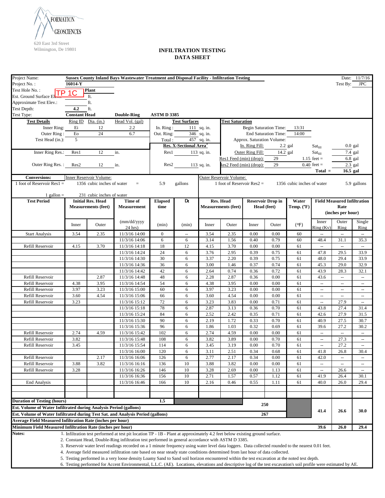

| Project Name:                                                                   |                             |                            | Sussex County Inland Bays Wastewater Treatment and Disposal Facility - Infiltration Testing                                                                                                                                                                                    |                           |                                    |                                         |                              |                               |                          |                            |                            |                                    | Date: 11/7/16                                       |
|---------------------------------------------------------------------------------|-----------------------------|----------------------------|--------------------------------------------------------------------------------------------------------------------------------------------------------------------------------------------------------------------------------------------------------------------------------|---------------------------|------------------------------------|-----------------------------------------|------------------------------|-------------------------------|--------------------------|----------------------------|----------------------------|------------------------------------|-----------------------------------------------------|
| Project No.:                                                                    | 16014-Y                     |                            |                                                                                                                                                                                                                                                                                |                           |                                    |                                         |                              |                               |                          |                            |                            | Test By:                           | <b>JPC</b>                                          |
| Test Hole No.:                                                                  |                             | Plant                      |                                                                                                                                                                                                                                                                                |                           |                                    |                                         |                              |                               |                          |                            |                            |                                    |                                                     |
| Est. Ground Surface El                                                          |                             | ft.                        |                                                                                                                                                                                                                                                                                |                           |                                    |                                         |                              |                               |                          |                            |                            |                                    |                                                     |
| Approximate Test Elev.:                                                         |                             | ft.                        |                                                                                                                                                                                                                                                                                |                           |                                    |                                         |                              |                               |                          |                            |                            |                                    |                                                     |
| Test Depth:<br>Test Type:                                                       | 4.2<br><b>Constant Head</b> | ft.                        |                                                                                                                                                                                                                                                                                |                           |                                    |                                         |                              |                               |                          |                            |                            |                                    |                                                     |
|                                                                                 |                             |                            | <b>Double-Ring</b>                                                                                                                                                                                                                                                             | <b>ASTM D 3385</b>        |                                    |                                         |                              |                               |                          |                            |                            |                                    |                                                     |
| <b>Test Details</b>                                                             |                             | Ring ID Dia. (in.)         | Head Vol. (gal)                                                                                                                                                                                                                                                                |                           | <b>Test Surfaces</b>               |                                         | <b>Test Saturation</b>       |                               |                          |                            |                            |                                    |                                                     |
| Inner Ring:                                                                     | Ei<br>${\rm E}{\rm o}$      | 12                         | 2.2<br>6.7                                                                                                                                                                                                                                                                     | In. $Ring:$<br>Out. Ring: |                                    | $111$ sq. in.                           |                              | <b>Begin Saturation Time:</b> |                          | 13:31<br>14:00             |                            |                                    |                                                     |
| Outer Ring:<br>Test Head (in.):                                                 | $\overline{5}$              | $24\,$                     |                                                                                                                                                                                                                                                                                | Total:                    |                                    | $\overline{346}$ sq. in.<br>457 sq. in. |                              | Approx. Saturation Volume:    | End Saturation Time:     |                            |                            |                                    |                                                     |
|                                                                                 |                             |                            |                                                                                                                                                                                                                                                                                |                           | Res. X-Sectional Area <sup>3</sup> |                                         |                              | In. Ring Fill:                |                          | $2.2$ gal                  | $\text{Sat}_{\text{fill}}$ |                                    | $0.0$ gal                                           |
| Inner Ring Res.:                                                                | Res1                        | 12                         | in.                                                                                                                                                                                                                                                                            |                           | Res1                               | $113$ sq. in.                           |                              | Outer Ring Fill:              | 14.2 gal                 |                            | Sat <sub>fill</sub>        |                                    | 7.4 gal                                             |
|                                                                                 |                             |                            |                                                                                                                                                                                                                                                                                |                           |                                    |                                         | Res1 Feed (min) (drop):      |                               | 29                       |                            | 1.15 feet $=$              |                                    | $6.8$ gal                                           |
| Outer Ring Res.:                                                                | Res2                        | 12                         | in.                                                                                                                                                                                                                                                                            |                           | Res2                               | 113 sq. in.                             | Res2 Feed (min) (drop):      |                               | 29                       |                            | $0.40$ feet =              |                                    | $2.3$ gal                                           |
|                                                                                 |                             |                            |                                                                                                                                                                                                                                                                                |                           |                                    |                                         |                              |                               |                          |                            | $Total =$                  | 16.5 gal                           |                                                     |
| <b>Conversions:</b>                                                             |                             | Inner Reservoir Volume:    |                                                                                                                                                                                                                                                                                |                           |                                    |                                         | Outer Reservoir Volume:      |                               |                          |                            |                            |                                    |                                                     |
| 1 foot of Reservoir Res $1 =$                                                   |                             | 1356 cubic inches of water | $=$                                                                                                                                                                                                                                                                            | 5.9                       | gallons                            |                                         | 1 foot of Reservoir $Res2 =$ |                               |                          | 1356 cubic inches of water |                            |                                    | 5.9 gallons                                         |
|                                                                                 |                             |                            |                                                                                                                                                                                                                                                                                |                           |                                    |                                         |                              |                               |                          |                            |                            |                                    |                                                     |
| 1 gallon $=$                                                                    |                             | 231 cubic inches of water  |                                                                                                                                                                                                                                                                                |                           |                                    |                                         |                              |                               |                          |                            |                            |                                    |                                                     |
| <b>Test Period</b>                                                              |                             | <b>Initial Res. Head</b>   | Time of                                                                                                                                                                                                                                                                        | <b>Elapsed</b>            | Dt                                 |                                         | Res. Head                    |                               | <b>Reservoir Drop in</b> | Water                      |                            | <b>Field Measured Infiltration</b> |                                                     |
|                                                                                 |                             | <b>Measurements (feet)</b> | <b>Measurement</b>                                                                                                                                                                                                                                                             | time                      |                                    |                                         | <b>Measurements (feet)</b>   |                               | Head (feet)              | Temp. $(^{\circ}F)$        |                            | Rate                               |                                                     |
|                                                                                 |                             |                            |                                                                                                                                                                                                                                                                                |                           |                                    |                                         |                              |                               |                          |                            |                            | (inches per hour)                  |                                                     |
|                                                                                 |                             |                            | (mm/dd/yyyy                                                                                                                                                                                                                                                                    |                           |                                    |                                         |                              |                               |                          |                            | Inner                      | Outer                              | Single                                              |
|                                                                                 | Inner                       | Outer                      | $24$ hrs)                                                                                                                                                                                                                                                                      | (min)                     | (min)                              | Inner                                   | Outer                        | Inner                         | Outer                    | (°F)                       | Ring (Kv)                  | Ring                               | Ring                                                |
| <b>Start Analysis</b>                                                           | 3.54                        | 2.35                       | 11/3/16 14:00                                                                                                                                                                                                                                                                  | $\mathbf{0}$              | $\overline{\phantom{a}}$           | 3.54                                    | 2.35                         | 0.00                          | 0.00                     | 60                         | Ш.                         | $\overline{\phantom{a}}$           | $\overline{\phantom{a}}$                            |
|                                                                                 |                             |                            | 11/3/16 14:06                                                                                                                                                                                                                                                                  | 6                         | 6                                  | 3.14                                    | 1.56                         | 0.40                          | 0.79                     | 60                         | 48.4                       | 31.1                               | 35.3                                                |
| Refill Reservoir                                                                | 4.15                        | 3.70                       | 11/3/16 14:18                                                                                                                                                                                                                                                                  | 18                        | 12                                 | 4.15                                    | 3.70                         | 0.00                          | 0.00                     | 61                         | $\hspace{0.05cm} \ldots$   | ÷,                                 | $\mathbb{H}^2$                                      |
|                                                                                 |                             |                            | 11/3/16 14:24                                                                                                                                                                                                                                                                  | 24                        | 6                                  | 3.76                                    | 2.95                         | 0.39                          | 0.75                     | 61                         | 47.8                       | 29.5                               | 33.9                                                |
|                                                                                 |                             |                            | 11/3/16 14:30                                                                                                                                                                                                                                                                  | 30                        | 6                                  | 3.37                                    | 2.20                         | 0.39                          | 0.75                     | 61                         | 48.0                       | 29.4                               | 33.9                                                |
|                                                                                 |                             |                            | 11/3/16 14:36                                                                                                                                                                                                                                                                  | 36                        | 6                                  | 3.00                                    | 1.46                         | 0.37                          | 0.74                     | 61                         | 45.3                       | 29.0                               | 32.9                                                |
|                                                                                 |                             |                            | 11/3/16 14:42                                                                                                                                                                                                                                                                  | 42                        | 6                                  | 2.64                                    | 0.74                         | 0.36                          | 0.72                     | 61                         | 43.9                       | 28.3                               | 32.1                                                |
| Refill Reservoir                                                                |                             | 2.87                       | 11/3/16 14:48                                                                                                                                                                                                                                                                  | 48                        | 6                                  | 2.28                                    | 2.87                         | 0.36                          | 0.00                     | 61                         | 43.6                       | $\overline{\phantom{a}}$           | $\overline{\phantom{a}}$                            |
| Refill Reservoir                                                                | 4.38                        | 3.95                       | 11/3/16 14:54                                                                                                                                                                                                                                                                  | 54                        | 6                                  | 4.38                                    | 3.95                         | 0.00                          | 0.00                     | 61                         | $\mathbf{u}$               | $\sim$                             | $\sim$                                              |
| Refill Reservoir                                                                | 3.97                        | 3.23                       | 11/3/16 15:00                                                                                                                                                                                                                                                                  | 60                        | 6                                  | 3.97                                    | 3.23                         | 0.00                          | 0.00                     | 61                         | $\sim$                     | u.                                 | $\overline{\phantom{a}}$                            |
| Refill Reservoir                                                                | 3.60                        | 4.54                       | 11/3/16 15:06                                                                                                                                                                                                                                                                  | 66<br>72                  | 6                                  | 3.60                                    | 4.54                         | 0.00                          | 0.00                     | 61                         | $\overline{\phantom{a}}$   | $\overline{\phantom{a}}$           | $\overline{\phantom{a}}$                            |
| Refill Reservoir                                                                | 3.23                        |                            | 11/3/16 15:12<br>11/3/16 15:18                                                                                                                                                                                                                                                 | 78                        | 6<br>6                             | 3.23<br>2.87                            | 3.83<br>3.13                 | 0.00<br>0.36                  | 0.71<br>0.70             | 61<br>61                   | <u></u><br>43.8            | 27.9<br>27.4                       | $\overline{\phantom{a}}$<br>31.4                    |
|                                                                                 |                             |                            | 11/3/16 15:24                                                                                                                                                                                                                                                                  | 84                        | 6                                  | 2.52                                    | 2.42                         | 0.35                          | 0.71                     | 61                         | 42.6                       | 27.9                               | 31.5                                                |
|                                                                                 |                             |                            | 11/3/16 15:30                                                                                                                                                                                                                                                                  | 90                        | 6                                  | 2.19                                    | 1.72                         | 0.33                          | 0.70                     | 61                         | 40.9                       | 27.5                               | 30.7                                                |
|                                                                                 |                             |                            | 11/3/16 15:36                                                                                                                                                                                                                                                                  | 96                        | 6                                  | 1.86                                    | 1.03                         | 0.32                          | 0.69                     | 61                         | 39.6                       | 27.2                               | 30.2                                                |
| Refill Reservoir                                                                | 2.74                        | 4.59                       | 11/3/16 15:42                                                                                                                                                                                                                                                                  | 102                       | 6                                  | 2.74                                    | 4.59                         | 0.00                          | 0.00                     | 61                         | $\overline{\phantom{a}}$   | u.                                 | $\overline{\phantom{a}}$                            |
| Refill Reservoir                                                                | 3.82                        |                            | 11/3/16 15:48                                                                                                                                                                                                                                                                  | 108                       | 6                                  | 3.82                                    | 3.89                         | 0.00                          | 0.70                     | 61                         | $\overline{\phantom{a}}$   | 27.3                               | $\overline{\phantom{a}}$                            |
| Refill Reservoir                                                                | 3.45                        |                            | 11/3/16 15:54                                                                                                                                                                                                                                                                  | 114                       | 6                                  | 3.45                                    | 3.19                         | 0.00                          | 0.70                     | 61                         | $\mathbb{L}^2$             | 27.2                               | $\overline{\phantom{a}}$                            |
|                                                                                 |                             |                            | 11/3/16 16:00                                                                                                                                                                                                                                                                  | 120                       | 6                                  | 3.11                                    | 2.51                         | 0.34                          | 0.68                     | 61                         | 41.8                       | 26.8                               | 30.4                                                |
| Refill Reservoir                                                                |                             | 2.17                       | 11/3/16 16:06                                                                                                                                                                                                                                                                  | 126                       | 6                                  | 2.77                                    | 2.17                         | 0.34                          | 0.00                     | 61                         | 42.0                       | $\overline{\phantom{a}}$           | $\hspace{0.05cm}$                                   |
| Refill Reservoir                                                                | 3.88                        | 3.82                       | 11/3/16 16:16                                                                                                                                                                                                                                                                  | 136                       | 10                                 | 3.88                                    | 3.82                         | 0.00                          | 0.00                     | 61                         | $\frac{1}{2}$              | $\overline{\phantom{a}}$           | $\hspace{0.05cm} -\hspace{0.05cm} -\hspace{0.05cm}$ |
| Refill Reservoir                                                                | 3.28                        |                            | 11/3/16 16:26                                                                                                                                                                                                                                                                  | 146                       | 10                                 | 3.28                                    | 2.69                         | 0.00                          | 1.13                     | 61                         | --                         | 26.6                               | $\hspace{0.05cm} -\hspace{0.05cm} -\hspace{0.05cm}$ |
|                                                                                 |                             |                            | 11/3/16 16:36                                                                                                                                                                                                                                                                  | 156                       | 10                                 | 2.71                                    | 1.57                         | 0.57                          | 1.12                     | 61                         | 41.9                       | 26.4                               | 30.1                                                |
| <b>End Analysis</b>                                                             |                             |                            | 11/3/16 16:46                                                                                                                                                                                                                                                                  | 166                       | 10                                 | 2.16                                    | 0.46                         | 0.55                          | 1.11                     | 61                         | 40.0                       | 26.0                               | 29.4                                                |
|                                                                                 |                             |                            |                                                                                                                                                                                                                                                                                |                           |                                    |                                         |                              |                               |                          |                            |                            |                                    |                                                     |
|                                                                                 |                             |                            |                                                                                                                                                                                                                                                                                |                           |                                    |                                         |                              |                               |                          |                            |                            |                                    |                                                     |
| <b>Duration of Testing (hours)</b>                                              |                             |                            |                                                                                                                                                                                                                                                                                | 1.5                       |                                    |                                         |                              |                               | 250                      |                            |                            |                                    |                                                     |
| Est. Volume of Water Infiltrated during Analysis Period (gallons)               |                             |                            |                                                                                                                                                                                                                                                                                |                           |                                    |                                         |                              |                               |                          |                            | 41.4                       | 26.6                               | 30.0                                                |
| Est. Volume of Water Infiltrated during Test Sat. and Analysis Period (gallons) |                             |                            |                                                                                                                                                                                                                                                                                |                           |                                    |                                         |                              |                               | 267                      |                            |                            |                                    |                                                     |
| Average Field Measured Infiltration Rate (inches per hour)                      |                             |                            |                                                                                                                                                                                                                                                                                |                           |                                    |                                         |                              |                               |                          |                            |                            |                                    |                                                     |
| Minimum Field Measured Infiltration Rate (inches per hour)                      |                             |                            |                                                                                                                                                                                                                                                                                |                           |                                    |                                         |                              |                               |                          |                            | 39.6                       | 26.0                               | 29.4                                                |
| Notes:                                                                          |                             |                            | 1. Infiltration test performed at test pit location TP - 1B - Plant at approximately 4.2 feet below existing ground surface.                                                                                                                                                   |                           |                                    |                                         |                              |                               |                          |                            |                            |                                    |                                                     |
|                                                                                 |                             |                            | 2. Constant Head, Double-Ring infiltration test performed in general accordance with ASTM D 3385.                                                                                                                                                                              |                           |                                    |                                         |                              |                               |                          |                            |                            |                                    |                                                     |
|                                                                                 |                             |                            | 3. Reservoir water level readings recorded on a 1 minute frequency using water level data loggers. Data collected rounded to the nearest 0.01 feet.                                                                                                                            |                           |                                    |                                         |                              |                               |                          |                            |                            |                                    |                                                     |
|                                                                                 |                             |                            | 4. Average field measured infiltration rate based on near steady state conditions determined from last hour of data collected.<br>5. Testing performed in a very loose density Loamy Sand to Sand soil horizon encountered within the test excavation at the noted test depth. |                           |                                    |                                         |                              |                               |                          |                            |                            |                                    |                                                     |
|                                                                                 |                             |                            | 6. Testing performed for Accent Environmental, L.L.C. (AE). Locations, elevations and descriptive log of the test excavation's soil profile were estimated by AE.                                                                                                              |                           |                                    |                                         |                              |                               |                          |                            |                            |                                    |                                                     |
|                                                                                 |                             |                            |                                                                                                                                                                                                                                                                                |                           |                                    |                                         |                              |                               |                          |                            |                            |                                    |                                                     |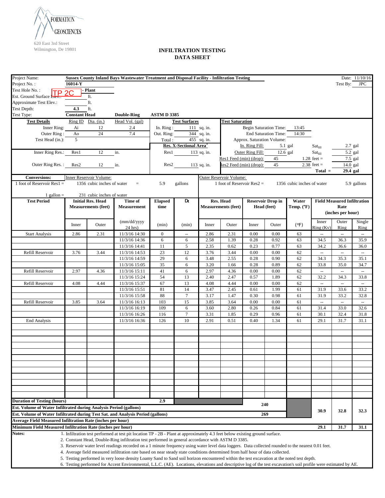

| Project Name:                                                                   |                                                                                                               |                            | Sussex County Inland Bays Wastewater Treatment and Disposal Facility - Infiltration Testing                                                                       |                    |                                    |               |                              |                  |                               |                                    |                            |                          | Date: 11/10/16           |
|---------------------------------------------------------------------------------|---------------------------------------------------------------------------------------------------------------|----------------------------|-------------------------------------------------------------------------------------------------------------------------------------------------------------------|--------------------|------------------------------------|---------------|------------------------------|------------------|-------------------------------|------------------------------------|----------------------------|--------------------------|--------------------------|
| Project No.:                                                                    | 16014-Y                                                                                                       |                            |                                                                                                                                                                   |                    |                                    |               |                              |                  |                               |                                    |                            | Test By: JPC             |                          |
| Test Hole No.:                                                                  |                                                                                                               | - Plant                    |                                                                                                                                                                   |                    |                                    |               |                              |                  |                               |                                    |                            |                          |                          |
| TР<br>Est. Ground Surface Liev.                                                 | 2C                                                                                                            | ft.                        |                                                                                                                                                                   |                    |                                    |               |                              |                  |                               |                                    |                            |                          |                          |
| Approximate Test Elev.:                                                         |                                                                                                               | ft.                        |                                                                                                                                                                   |                    |                                    |               |                              |                  |                               |                                    |                            |                          |                          |
| Test Depth:                                                                     | 4.3                                                                                                           |                            |                                                                                                                                                                   |                    |                                    |               |                              |                  |                               |                                    |                            |                          |                          |
|                                                                                 |                                                                                                               | ft.                        |                                                                                                                                                                   |                    |                                    |               |                              |                  |                               |                                    |                            |                          |                          |
| Test Type:                                                                      | <b>Constant Head</b>                                                                                          |                            | <b>Double-Ring</b>                                                                                                                                                | <b>ASTM D 3385</b> |                                    |               |                              |                  |                               |                                    |                            |                          |                          |
| <b>Test Details</b>                                                             |                                                                                                               | Ring ID Dia. (in.)         | Head Vol. (gal)                                                                                                                                                   |                    | <b>Test Surfaces</b>               |               | <b>Test Saturation</b>       |                  |                               |                                    |                            |                          |                          |
| Inner Ring:                                                                     | Ai                                                                                                            | 12                         | 2.4                                                                                                                                                               | In. $Ring:$        |                                    | 111 sq. in.   |                              |                  | <b>Begin Saturation Time:</b> | 13:45                              |                            |                          |                          |
| Outer Ring:                                                                     | Ao                                                                                                            | 24                         | 7.4                                                                                                                                                               | Out. Ring:         |                                    | 344 sq. in.   |                              |                  | End Saturation Time:          | 14:30                              |                            |                          |                          |
| Test Head (in.):                                                                | $\mathfrak{F}$                                                                                                |                            |                                                                                                                                                                   | Total:             |                                    | $455$ sq. in. |                              |                  | Approx. Saturation Volume:    |                                    |                            |                          |                          |
|                                                                                 |                                                                                                               |                            |                                                                                                                                                                   |                    | Res. X-Sectional Area <sup>3</sup> |               |                              | In. Ring Fill:   |                               | 5.1 gal                            | $\text{Sat}_{\text{fill}}$ |                          | $2.7$ gal                |
| Inner Ring Res.:                                                                | Res1                                                                                                          | 12                         | in.                                                                                                                                                               |                    | Res1 113 sq. in.                   |               |                              | Outer Ring Fill: | $12.6$ gal                    |                                    | Sat <sub>fill</sub>        | 5.2 gal                  |                          |
|                                                                                 |                                                                                                               |                            |                                                                                                                                                                   |                    |                                    |               | Res1 Feed (min) (drop):      |                  | 45                            |                                    | $1.28$ feet =              | 7.5 gal                  |                          |
| Outer Ring Res.: Res2                                                           |                                                                                                               | 12                         | in.                                                                                                                                                               | Res2               |                                    | 113 sq. in.   | Res2 Feed (min) (drop):      |                  | 45                            |                                    | $2.38$ feet =              | 14.0 gal                 |                          |
|                                                                                 |                                                                                                               |                            |                                                                                                                                                                   |                    |                                    |               |                              |                  |                               |                                    | $Total =$                  | 29.4 gal                 |                          |
| <b>Conversions:</b>                                                             |                                                                                                               | Inner Reservoir Volume:    |                                                                                                                                                                   |                    |                                    |               | Outer Reservoir Volume:      |                  |                               |                                    |                            |                          |                          |
| 1 foot of Reservoir Res $1 =$                                                   |                                                                                                               | 1356 cubic inches of water | $=$ $\,$                                                                                                                                                          | 5.9                | gallons                            |               | 1 foot of Reservoir $Res2 =$ |                  |                               | 1356 cubic inches of water         |                            |                          | 5.9 gallons              |
|                                                                                 |                                                                                                               |                            |                                                                                                                                                                   |                    |                                    |               |                              |                  |                               |                                    |                            |                          |                          |
|                                                                                 | 231 cubic inches of water<br>1 gallon $=$                                                                     |                            |                                                                                                                                                                   |                    |                                    |               |                              |                  |                               |                                    |                            |                          |                          |
| <b>Test Period</b>                                                              | Dt<br>Res. Head<br><b>Initial Res. Head</b><br>Time of<br><b>Elapsed</b><br><b>Reservoir Drop in</b><br>Water |                            |                                                                                                                                                                   |                    |                                    |               |                              |                  |                               | <b>Field Measured Infiltration</b> |                            |                          |                          |
|                                                                                 |                                                                                                               | <b>Measurements (feet)</b> | <b>Measurement</b>                                                                                                                                                | time               |                                    |               | <b>Measurements (feet)</b>   |                  | Head (feet)                   | Temp. $(^{\circ}F)$                |                            | Rate                     |                          |
|                                                                                 |                                                                                                               |                            |                                                                                                                                                                   |                    |                                    |               |                              |                  |                               |                                    |                            | (inches per hour)        |                          |
|                                                                                 |                                                                                                               |                            |                                                                                                                                                                   |                    |                                    |               |                              |                  |                               |                                    |                            |                          |                          |
|                                                                                 | Inner                                                                                                         | Outer                      | (mm/dd/yyyy                                                                                                                                                       | (min)              | (min)                              | Inner         | Outer                        | Inner            | Outer                         | (°F)                               | Inner                      | Outer                    | Single                   |
|                                                                                 |                                                                                                               |                            | $24$ hrs)                                                                                                                                                         |                    |                                    |               |                              |                  |                               |                                    | Ring (Kv)                  | Ring                     | Ring                     |
| <b>Start Analysis</b>                                                           | 2.86                                                                                                          | 2.31                       | 11/3/16 14:30                                                                                                                                                     | $\mathbf{0}$       | ÷,                                 | 2.86          | 2.31                         | 0.00             | 0.00                          | 63                                 | ÷.                         | $\overline{\phantom{a}}$ | ÷,                       |
|                                                                                 |                                                                                                               |                            | 11/3/16 14:36                                                                                                                                                     | 6                  | 6                                  | 2.58          | 1.39                         | 0.28             | 0.92                          | 63                                 | 34.5                       | 36.3                     | 35.9                     |
|                                                                                 |                                                                                                               |                            | 11/3/16 14:41                                                                                                                                                     | 11                 | 5                                  | 2.35          | 0.62                         | 0.23             | 0.77                          | 63                                 | 34.2                       | 36.6                     | 36.0                     |
| Refill Reservoir                                                                | 3.76                                                                                                          | 3.44                       | 11/3/16 14:53                                                                                                                                                     | 23                 | 12                                 | 3.76          | 3.44                         | 0.00             | 0.00                          | 62                                 | $\mathbb{Z}^2$             | ω,                       | $\omega_{\rm m}$         |
|                                                                                 |                                                                                                               |                            | 11/3/16 14:59                                                                                                                                                     | 29                 | 6                                  | 3.48          | 2.55                         | 0.28             | 0.90                          | 62                                 | 34.3                       | 35.3                     | 35.1                     |
|                                                                                 |                                                                                                               |                            | 11/3/16 15:05                                                                                                                                                     | 35                 | 6                                  | 3.20          | 1.66                         | 0.28             | 0.89                          | 62                                 | 33.8                       | 35.0                     | 34.7                     |
| Refill Reservoir                                                                | 2.97                                                                                                          | 4.36                       | 11/3/16 15:11                                                                                                                                                     | 41                 | 6                                  | 2.97          | 4.36                         | 0.00             | 0.00                          | 62                                 | L.                         | u.                       | u.                       |
|                                                                                 |                                                                                                               |                            | 11/3/16 15:24                                                                                                                                                     | 54                 | 13                                 | 2.40          | 2.47                         | 0.57             | 1.89                          | 62                                 | 32.2                       | 34.3                     | 33.8                     |
| Refill Reservoir                                                                | 4.08                                                                                                          | 4.44                       | 11/3/16 15:37                                                                                                                                                     | 67                 | 13                                 | 4.08          | 4.44                         | 0.00             | 0.00                          | 62                                 | ω,                         | $\bar{\phantom{a}}$      | $\overline{\phantom{a}}$ |
|                                                                                 |                                                                                                               |                            | 11/3/16 15:51                                                                                                                                                     | 81                 | 14                                 | 3.47          | 2.45                         | 0.61             | 1.99                          | 61                                 | 31.9                       | 33.6                     | 33.2                     |
|                                                                                 |                                                                                                               |                            | 11/3/16 15:58                                                                                                                                                     | 88                 | $\boldsymbol{7}$                   | 3.17          | 1.47                         | 0.30             | 0.98                          | 61                                 | 31.9                       | 33.2                     | 32.8                     |
| Refill Reservoir                                                                | 3.85                                                                                                          | 3.64                       | 11/3/16 16:13                                                                                                                                                     | 103                | 15                                 | 3.85          | 3.64                         | 0.00             | 0.00                          | 61                                 | ÷.                         | ω,                       | $\bar{\phantom{a}}$      |
|                                                                                 |                                                                                                               |                            | 11/3/16 16:19                                                                                                                                                     | 109                | 6                                  | 3.60          | 2.80                         | 0.26             | 0.84                          | 61                                 | 31.4                       | 33.0                     | 32.6                     |
|                                                                                 |                                                                                                               |                            | 11/3/16 16:26                                                                                                                                                     | 116                | 7                                  | 3.31          | 1.85                         | 0.29             | 0.96                          | 61                                 | 30.1                       | 32.4                     | 31.8                     |
| <b>End Analysis</b>                                                             |                                                                                                               |                            | 11/3/16 16:36                                                                                                                                                     | 126                | 10                                 | 2.91          | 0.51                         | 0.40             | 1.34                          | 61                                 | 29.1                       | 31.7                     | 31.1                     |
|                                                                                 |                                                                                                               |                            |                                                                                                                                                                   |                    |                                    |               |                              |                  |                               |                                    |                            |                          |                          |
|                                                                                 |                                                                                                               |                            |                                                                                                                                                                   |                    |                                    |               |                              |                  |                               |                                    |                            |                          |                          |
|                                                                                 |                                                                                                               |                            |                                                                                                                                                                   |                    |                                    |               |                              |                  |                               |                                    |                            |                          |                          |
|                                                                                 |                                                                                                               |                            |                                                                                                                                                                   |                    |                                    |               |                              |                  |                               |                                    |                            |                          |                          |
|                                                                                 |                                                                                                               |                            |                                                                                                                                                                   |                    |                                    |               |                              |                  |                               |                                    |                            |                          |                          |
|                                                                                 |                                                                                                               |                            |                                                                                                                                                                   |                    |                                    |               |                              |                  |                               |                                    |                            |                          |                          |
|                                                                                 |                                                                                                               |                            |                                                                                                                                                                   |                    |                                    |               |                              |                  |                               |                                    |                            |                          |                          |
|                                                                                 |                                                                                                               |                            |                                                                                                                                                                   |                    |                                    |               |                              |                  |                               |                                    |                            |                          |                          |
|                                                                                 |                                                                                                               |                            |                                                                                                                                                                   |                    |                                    |               |                              |                  |                               |                                    |                            |                          |                          |
|                                                                                 |                                                                                                               |                            |                                                                                                                                                                   |                    |                                    |               |                              |                  |                               |                                    |                            |                          |                          |
|                                                                                 |                                                                                                               |                            |                                                                                                                                                                   |                    |                                    |               |                              |                  |                               |                                    |                            |                          |                          |
|                                                                                 |                                                                                                               |                            |                                                                                                                                                                   |                    |                                    |               |                              |                  |                               |                                    |                            |                          |                          |
|                                                                                 |                                                                                                               |                            |                                                                                                                                                                   |                    |                                    |               |                              |                  |                               |                                    |                            |                          |                          |
| <b>Duration of Testing (hours)</b>                                              |                                                                                                               |                            |                                                                                                                                                                   | 2.9                |                                    |               |                              |                  | 240                           |                                    |                            |                          |                          |
| Est. Volume of Water Infiltrated during Analysis Period (gallons)               |                                                                                                               |                            |                                                                                                                                                                   |                    |                                    |               |                              |                  |                               |                                    | 30.9                       | 32.8                     | 32.3                     |
| Est. Volume of Water Infiltrated during Test Sat. and Analysis Period (gallons) |                                                                                                               |                            |                                                                                                                                                                   |                    |                                    |               |                              |                  | 269                           |                                    |                            |                          |                          |
| <b>Average Field Measured Infiltration Rate (inches per hour)</b>               |                                                                                                               |                            |                                                                                                                                                                   |                    |                                    |               |                              |                  |                               |                                    |                            |                          |                          |
| Minimum Field Measured Infiltration Rate (inches per hour)                      |                                                                                                               |                            |                                                                                                                                                                   |                    |                                    |               |                              |                  |                               |                                    | 29.1                       | 31.7                     | 31.1                     |
| Notes:                                                                          |                                                                                                               |                            | 1. Infiltration test performed at test pit location TP - 2B - Plant at approximately 4.3 feet below existing ground surface.                                      |                    |                                    |               |                              |                  |                               |                                    |                            |                          |                          |
|                                                                                 |                                                                                                               |                            | 2. Constant Head, Double-Ring infiltration test performed in general accordance with ASTM D 3385.                                                                 |                    |                                    |               |                              |                  |                               |                                    |                            |                          |                          |
|                                                                                 |                                                                                                               |                            | 3. Reservoir water level readings recorded on a 1 minute frequency using water level data loggers. Data collected rounded to the nearest 0.01 feet.               |                    |                                    |               |                              |                  |                               |                                    |                            |                          |                          |
|                                                                                 |                                                                                                               |                            | 4. Average field measured infiltration rate based on near steady state conditions determined from half hour of data collected.                                    |                    |                                    |               |                              |                  |                               |                                    |                            |                          |                          |
|                                                                                 |                                                                                                               |                            | 5. Testing performed in very loose density Loamy Sand to Sand soil horizon encountered within the test excavation at the noted test depth.                        |                    |                                    |               |                              |                  |                               |                                    |                            |                          |                          |
|                                                                                 |                                                                                                               |                            | 6. Testing performed for Accent Environmental, L.L.C. (AE). Locations, elevations and descriptive log of the test excavation's soil profile were estimated by AE. |                    |                                    |               |                              |                  |                               |                                    |                            |                          |                          |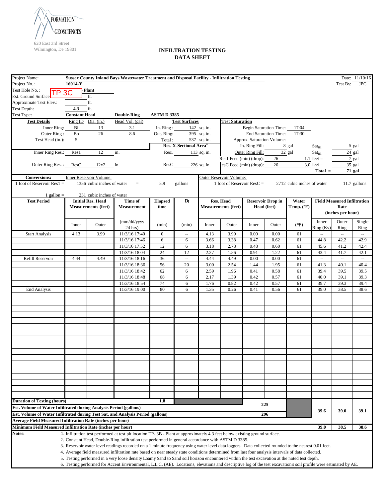

| Project Name:                                                                                                                               |                      |                            | Sussex County Inland Bays Wastewater Treatment and Disposal Facility - Infiltration Testing                                                                       |                    |                                    |               |                              |                  |                               |                            |                     |                                    | Date: 11/10/16 |
|---------------------------------------------------------------------------------------------------------------------------------------------|----------------------|----------------------------|-------------------------------------------------------------------------------------------------------------------------------------------------------------------|--------------------|------------------------------------|---------------|------------------------------|------------------|-------------------------------|----------------------------|---------------------|------------------------------------|----------------|
| Project No.:                                                                                                                                | 16014-Y              |                            |                                                                                                                                                                   |                    |                                    |               |                              |                  |                               |                            |                     | Test By: JPC                       |                |
| Test Hole No.:                                                                                                                              | TP 3C                | <b>Plant</b>               |                                                                                                                                                                   |                    |                                    |               |                              |                  |                               |                            |                     |                                    |                |
| Est. Ground Surface                                                                                                                         |                      | ft.                        |                                                                                                                                                                   |                    |                                    |               |                              |                  |                               |                            |                     |                                    |                |
| Approximate Test Elev.:                                                                                                                     |                      | $\operatorname{ft}$        |                                                                                                                                                                   |                    |                                    |               |                              |                  |                               |                            |                     |                                    |                |
| Test Depth:                                                                                                                                 | 4.3                  | ft.                        |                                                                                                                                                                   |                    |                                    |               |                              |                  |                               |                            |                     |                                    |                |
| Test Type:                                                                                                                                  | <b>Constant Head</b> |                            | <b>Double-Ring</b>                                                                                                                                                | <b>ASTM D 3385</b> |                                    |               |                              |                  |                               |                            |                     |                                    |                |
| <b>Test Details</b>                                                                                                                         |                      | Ring ID Dia. (in.)         | Head Vol. (gal)                                                                                                                                                   |                    | <b>Test Surfaces</b>               |               | <b>Test Saturation</b>       |                  |                               |                            |                     |                                    |                |
| Inner Ring:                                                                                                                                 | Bi                   | 13                         | 3.1                                                                                                                                                               | In. Ring:          |                                    | 142 sq. in.   |                              |                  | <b>Begin Saturation Time:</b> | 17:04                      |                     |                                    |                |
| Outer Ring:                                                                                                                                 | Bo                   | 26                         | 8.6                                                                                                                                                               | Out. Ring:         |                                    | 395 sq. in.   |                              |                  | <b>End Saturation Time:</b>   | 17:30                      |                     |                                    |                |
| Test Head (in.):                                                                                                                            | $\mathcal{F}$        |                            |                                                                                                                                                                   | Total:             |                                    | 537 sq. in.   |                              |                  | Approx. Saturation Volume:    |                            |                     |                                    |                |
|                                                                                                                                             |                      |                            |                                                                                                                                                                   |                    | Res. X-Sectional Area <sup>3</sup> |               |                              | In. Ring Fill:   |                               | 8 gal                      | Sat <sub>fill</sub> |                                    | 5 gal          |
| Inner Ring Res.:                                                                                                                            | Res1                 | 12                         | in.                                                                                                                                                               |                    | Res1 113 sq. in.                   |               |                              | Outer Ring Fill: |                               | $\overline{32}$ gal        | Sat <sub>fill</sub> |                                    | 24 gal         |
|                                                                                                                                             |                      |                            |                                                                                                                                                                   |                    |                                    |               | Res1 Feed (min) (drop):      |                  | 26                            |                            | $1.1$ feet =        |                                    | 7 gal          |
| Outer Ring Res.: ResC                                                                                                                       |                      | 12x2                       | in.                                                                                                                                                               |                    |                                    | $226$ sq. in. | esC Feed (min) (drop):       |                  | 26                            |                            | $3.0$ feet =        |                                    | 35 gal         |
|                                                                                                                                             |                      |                            |                                                                                                                                                                   |                    |                                    |               |                              |                  |                               |                            | $Total =$           |                                    | 71 gal         |
| <b>Conversions:</b>                                                                                                                         |                      | Inner Reservoir Volume:    |                                                                                                                                                                   |                    |                                    |               | Outer Reservoir Volume:      |                  |                               |                            |                     |                                    |                |
| 1 foot of Reservoir Res $1 =$                                                                                                               |                      | 1356 cubic inches of water | $=$                                                                                                                                                               | 5.9                | gallons                            |               | 1 foot of Reservoir $ResC =$ |                  |                               | 2712 cubic inches of water |                     |                                    | 11.7 gallons   |
|                                                                                                                                             |                      |                            |                                                                                                                                                                   |                    |                                    |               |                              |                  |                               |                            |                     |                                    |                |
| 231 cubic inches of water<br>1 gallon $=$<br><b>Test Period</b><br>Dt<br>Res. Head<br><b>Initial Res. Head</b><br>Time of<br><b>Elapsed</b> |                      |                            |                                                                                                                                                                   |                    |                                    |               |                              |                  | <b>Reservoir Drop in</b>      | Water                      |                     | <b>Field Measured Infiltration</b> |                |
|                                                                                                                                             |                      | <b>Measurements (feet)</b> | <b>Measurement</b>                                                                                                                                                | time               |                                    |               | <b>Measurements (feet)</b>   |                  | Head (feet)                   | Temp. (°F)                 |                     | Rate                               |                |
|                                                                                                                                             |                      |                            |                                                                                                                                                                   |                    |                                    |               |                              |                  |                               |                            |                     | (inches per hour)                  |                |
|                                                                                                                                             |                      |                            |                                                                                                                                                                   |                    |                                    |               |                              |                  |                               |                            |                     |                                    |                |
|                                                                                                                                             | Inner                | Outer                      | (mm/dd/yyyy                                                                                                                                                       | (min)              | (min)                              | Inner         | Outer                        | Inner            | Outer                         | (°F)                       | Inner               | Outer                              | Single         |
|                                                                                                                                             |                      |                            | $24$ hrs)                                                                                                                                                         |                    |                                    |               |                              |                  |                               |                            | Ring (Kv)           | Ring                               | Ring           |
| <b>Start Analysis</b>                                                                                                                       | 4.13                 | 3.99                       | 11/3/16 17:40<br>11/3/16 17:46                                                                                                                                    | $\mathbf{0}$       | Щ,                                 | 4.13          | 3.99                         | 0.00             | 0.00                          | 61                         | ω.                  | u.                                 | $\mathbb{Z}^2$ |
|                                                                                                                                             |                      |                            |                                                                                                                                                                   | 6                  | 6                                  | 3.66          | 3.38<br>2.78                 | 0.47             | 0.62                          | 61                         | 44.8                | 42.2                               | 42.9           |
|                                                                                                                                             |                      |                            | 11/3/16 17:52<br>$11/3/16$ 18:04                                                                                                                                  | 12<br>24           | 6<br>12                            | 3.18<br>2.27  | 1.56                         | 0.48<br>0.91     | 0.60<br>1.22                  | 61<br>61                   | 45.6<br>43.4        | 41.2<br>41.7                       | 42.4<br>42.1   |
| Refill Reservoir                                                                                                                            | 4.44                 | 4.49                       | 11/3/16 18:16                                                                                                                                                     | 36                 | $\overline{\phantom{a}}$           | 4.44          | 4.49                         | 0.00             | 0.00                          | 61                         | u.                  | u.                                 | $\sim$         |
|                                                                                                                                             |                      |                            | 11/3/16 18:36                                                                                                                                                     | 56                 | 20                                 | 3.00          | 2.54                         | 1.44             | 1.95                          | 61                         | 41.3                | 40.1                               | 40.4           |
|                                                                                                                                             |                      |                            | $11/3/16$ 18:42                                                                                                                                                   | 62                 | 6                                  | 2.59          | 1.96                         | 0.41             | 0.58                          | 61                         | 39.4                | 39.5                               | 39.5           |
|                                                                                                                                             |                      |                            | 11/3/16 18:48                                                                                                                                                     | 68                 | 6                                  | 2.17          | 1.39                         | 0.42             | 0.57                          | 61                         | 40.0                | 39.1                               | 39.3           |
|                                                                                                                                             |                      |                            | 11/3/16 18:54                                                                                                                                                     | 74                 | 6                                  | 1.76          | 0.82                         | 0.42             | 0.57                          | 61                         | 39.7                | 39.3                               | 39.4           |
| <b>End Analysis</b>                                                                                                                         |                      |                            | 11/3/16 19:00                                                                                                                                                     | 80                 | 6                                  | 1.35          | 0.26                         | 0.41             | 0.56                          | 61                         | 39.0                | 38.5                               | 38.6           |
|                                                                                                                                             |                      |                            |                                                                                                                                                                   |                    |                                    |               |                              |                  |                               |                            |                     |                                    |                |
|                                                                                                                                             |                      |                            |                                                                                                                                                                   |                    |                                    |               |                              |                  |                               |                            |                     |                                    |                |
|                                                                                                                                             |                      |                            |                                                                                                                                                                   |                    |                                    |               |                              |                  |                               |                            |                     |                                    |                |
|                                                                                                                                             |                      |                            |                                                                                                                                                                   |                    |                                    |               |                              |                  |                               |                            |                     |                                    |                |
|                                                                                                                                             |                      |                            |                                                                                                                                                                   |                    |                                    |               |                              |                  |                               |                            |                     |                                    |                |
|                                                                                                                                             |                      |                            |                                                                                                                                                                   |                    |                                    |               |                              |                  |                               |                            |                     |                                    |                |
|                                                                                                                                             |                      |                            |                                                                                                                                                                   |                    |                                    |               |                              |                  |                               |                            |                     |                                    |                |
|                                                                                                                                             |                      |                            |                                                                                                                                                                   |                    |                                    |               |                              |                  |                               |                            |                     |                                    |                |
|                                                                                                                                             |                      |                            |                                                                                                                                                                   |                    |                                    |               |                              |                  |                               |                            |                     |                                    |                |
|                                                                                                                                             |                      |                            |                                                                                                                                                                   |                    |                                    |               |                              |                  |                               |                            |                     |                                    |                |
|                                                                                                                                             |                      |                            |                                                                                                                                                                   |                    |                                    |               |                              |                  |                               |                            |                     |                                    |                |
|                                                                                                                                             |                      |                            |                                                                                                                                                                   |                    |                                    |               |                              |                  |                               |                            |                     |                                    |                |
|                                                                                                                                             |                      |                            |                                                                                                                                                                   |                    |                                    |               |                              |                  |                               |                            |                     |                                    |                |
|                                                                                                                                             |                      |                            |                                                                                                                                                                   |                    |                                    |               |                              |                  |                               |                            |                     |                                    |                |
|                                                                                                                                             |                      |                            |                                                                                                                                                                   |                    |                                    |               |                              |                  |                               |                            |                     |                                    |                |
|                                                                                                                                             |                      |                            |                                                                                                                                                                   |                    |                                    |               |                              |                  |                               |                            |                     |                                    |                |
|                                                                                                                                             |                      |                            |                                                                                                                                                                   |                    |                                    |               |                              |                  |                               |                            |                     |                                    |                |
| <b>Duration of Testing (hours)</b>                                                                                                          |                      |                            |                                                                                                                                                                   | 1.8                |                                    |               |                              |                  | 225                           |                            |                     |                                    |                |
| Est. Volume of Water Infiltrated during Analysis Period (gallons)                                                                           |                      |                            |                                                                                                                                                                   |                    |                                    |               |                              |                  |                               |                            | 39.6                | 39.0                               | 39.1           |
| Est. Volume of Water Infiltrated during Test Sat. and Analysis Period (gallons)                                                             |                      |                            |                                                                                                                                                                   |                    |                                    |               |                              |                  | 296                           |                            |                     |                                    |                |
| <b>Average Field Measured Infiltration Rate (inches per hour)</b>                                                                           |                      |                            |                                                                                                                                                                   |                    |                                    |               |                              |                  |                               |                            |                     |                                    |                |
| Minimum Field Measured Infiltration Rate (inches per hour)                                                                                  |                      |                            |                                                                                                                                                                   |                    |                                    |               |                              |                  |                               |                            | 39.0                | 38.5                               | 38.6           |
| Notes:                                                                                                                                      |                      |                            | 1. Infiltration test performed at test pit location TP-3B - Plant at approximately 4.3 feet below existing ground surface.                                        |                    |                                    |               |                              |                  |                               |                            |                     |                                    |                |
|                                                                                                                                             |                      |                            | 2. Constant Head, Double-Ring infiltration test performed in general accordance with ASTM D 3385.                                                                 |                    |                                    |               |                              |                  |                               |                            |                     |                                    |                |
|                                                                                                                                             |                      |                            | 3. Reservoir water level readings recorded on a 1 minute frequency using water level data loggers. Data collected rounded to the nearest 0.01 feet.               |                    |                                    |               |                              |                  |                               |                            |                     |                                    |                |
|                                                                                                                                             |                      |                            | 4. Average field measured infiltration rate based on near steady state conditions determined from last four analysis intervals of data collected.                 |                    |                                    |               |                              |                  |                               |                            |                     |                                    |                |
|                                                                                                                                             |                      |                            | 5. Testing performed in a very loose density Loamy Sand to Sand soil horizon encountered within the test excavation at the noted test depth.                      |                    |                                    |               |                              |                  |                               |                            |                     |                                    |                |
|                                                                                                                                             |                      |                            | 6. Testing performed for Accent Environmental, L.L.C. (AE). Locations, elevations and descriptive log of the test excavation's soil profile were estimated by AE. |                    |                                    |               |                              |                  |                               |                            |                     |                                    |                |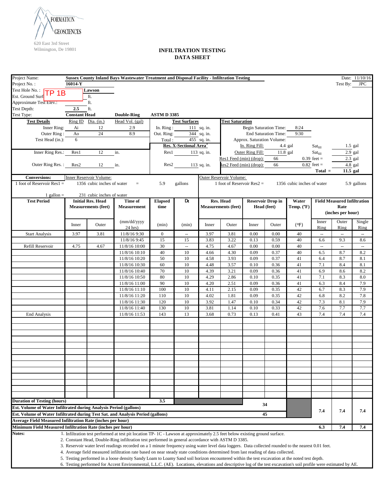

| Project Name:<br><b>Sussex County Inland Bays Wastewater Treatment and Disposal Facility - Infiltration Testing</b><br>Date: 11/10/16 |                             |                            |                                                                                                                                                                                                                                                                                    |                    |                                    |               |                              |                               |                             |                            |                            |                                    |             |
|---------------------------------------------------------------------------------------------------------------------------------------|-----------------------------|----------------------------|------------------------------------------------------------------------------------------------------------------------------------------------------------------------------------------------------------------------------------------------------------------------------------|--------------------|------------------------------------|---------------|------------------------------|-------------------------------|-----------------------------|----------------------------|----------------------------|------------------------------------|-------------|
| Project No.:                                                                                                                          | 16014-Y                     |                            |                                                                                                                                                                                                                                                                                    |                    |                                    |               |                              |                               |                             |                            |                            | Test By:                           | <b>JPC</b>  |
| Test Hole No.: TP 1B                                                                                                                  |                             | Lawson                     |                                                                                                                                                                                                                                                                                    |                    |                                    |               |                              |                               |                             |                            |                            |                                    |             |
| Est. Ground Surf                                                                                                                      |                             | ft.                        |                                                                                                                                                                                                                                                                                    |                    |                                    |               |                              |                               |                             |                            |                            |                                    |             |
| Approximate Test Elev.:                                                                                                               |                             | ft.                        |                                                                                                                                                                                                                                                                                    |                    |                                    |               |                              |                               |                             |                            |                            |                                    |             |
| Test Depth:<br>Test Type:                                                                                                             | 2.5<br><b>Constant Head</b> | ft.                        | <b>Double-Ring</b>                                                                                                                                                                                                                                                                 | <b>ASTM D 3385</b> |                                    |               |                              |                               |                             |                            |                            |                                    |             |
| <b>Test Details</b>                                                                                                                   |                             | Ring ID Dia. (in.)         | Head Vol. (gal)                                                                                                                                                                                                                                                                    |                    | <b>Test Surfaces</b>               |               | <b>Test Saturation</b>       |                               |                             |                            |                            |                                    |             |
| Inner Ring:                                                                                                                           | Ai                          | 12                         | 2.9                                                                                                                                                                                                                                                                                | In. Ring:          |                                    | 111 sq. in.   |                              | <b>Begin Saturation Time:</b> |                             | 8:24                       |                            |                                    |             |
| Outer Ring:                                                                                                                           | Ao                          | $24\,$                     | 8.9                                                                                                                                                                                                                                                                                | Out. Ring:         |                                    | 344 sq. in.   |                              |                               | <b>End Saturation Time:</b> | 9:30                       |                            |                                    |             |
| Test Head (in.):                                                                                                                      | 6                           |                            |                                                                                                                                                                                                                                                                                    | Total:             |                                    | $455$ sq. in. |                              | Approx. Saturation Volume:    |                             |                            |                            |                                    |             |
|                                                                                                                                       |                             |                            |                                                                                                                                                                                                                                                                                    |                    | Res. X-Sectional Area <sup>3</sup> |               |                              | In. Ring Fill:                |                             | 4.4 gal                    | $\text{Sat}_{\text{fill}}$ |                                    | $1.5$ gal   |
| Inner Ring Res.:                                                                                                                      | Res1                        | 12                         | in.                                                                                                                                                                                                                                                                                | Res1               |                                    | 113 sq. in.   |                              | Outer Ring Fill:              | 11.8 gal                    |                            | $\text{Sat}_{\text{fill}}$ |                                    | $2.9$ gal   |
|                                                                                                                                       |                             |                            |                                                                                                                                                                                                                                                                                    |                    |                                    |               | Res1 Feed (min) (drop):      |                               | 66                          |                            | $0.39$ feet =              |                                    | $2.3$ gal   |
| Outer Ring Res.:                                                                                                                      | Res2                        | 12                         | in.                                                                                                                                                                                                                                                                                | Res2               |                                    | 113 sq. in.   |                              | Res2 Feed (min) (drop):       | 66                          |                            | $0.82$ feet =              |                                    | 4.8 gal     |
|                                                                                                                                       |                             |                            |                                                                                                                                                                                                                                                                                    |                    |                                    |               |                              |                               |                             |                            | $Total =$                  | 11.5 gal                           |             |
| <b>Conversions:</b>                                                                                                                   |                             | Inner Reservoir Volume:    |                                                                                                                                                                                                                                                                                    |                    |                                    |               | Outer Reservoir Volume:      |                               |                             |                            |                            |                                    |             |
| 1 foot of Reservoir Res $1 =$                                                                                                         |                             | 1356 cubic inches of water | $\equiv$                                                                                                                                                                                                                                                                           | 5.9                | gallons                            |               | 1 foot of Reservoir $Res2 =$ |                               |                             | 1356 cubic inches of water |                            |                                    | 5.9 gallons |
| 1 gallon $=$                                                                                                                          |                             | 231 cubic inches of water  |                                                                                                                                                                                                                                                                                    |                    |                                    |               |                              |                               |                             |                            |                            |                                    |             |
| <b>Test Period</b>                                                                                                                    |                             | <b>Initial Res. Head</b>   | Time of                                                                                                                                                                                                                                                                            | <b>Elapsed</b>     | $\mathbf{D_t}$                     |               | Res. Head                    |                               | <b>Reservoir Drop in</b>    | Water                      |                            | <b>Field Measured Infiltration</b> |             |
|                                                                                                                                       |                             | <b>Measurements (feet)</b> | <b>Measurement</b>                                                                                                                                                                                                                                                                 | time               |                                    |               | <b>Measurements (feet)</b>   |                               | Head (feet)                 | Temp. (°F)                 |                            | Rate                               |             |
|                                                                                                                                       |                             |                            |                                                                                                                                                                                                                                                                                    |                    |                                    |               |                              |                               |                             |                            |                            | (inches per hour)                  |             |
|                                                                                                                                       | Inner                       | Outer                      | (mm/dd/yyyy                                                                                                                                                                                                                                                                        | (min)              | (min)                              | Inner         | Outer                        | Inner                         | Outer                       |                            | Inner                      | Outer                              | Single      |
|                                                                                                                                       |                             |                            | $24$ hrs)                                                                                                                                                                                                                                                                          |                    |                                    |               |                              |                               |                             | (°F)                       | Ring                       | Ring                               | Ring        |
| <b>Start Analysis</b>                                                                                                                 | 3.97                        | 3.81                       | 11/8/16 9:30                                                                                                                                                                                                                                                                       | $\overline{0}$     | $\overline{\phantom{a}}$           | 3.97          | 3.81                         | 0.00                          | 0.00                        | 40                         | $\mathbb{Z}^2$             | $\overline{\phantom{a}}$           | ω.          |
|                                                                                                                                       |                             |                            | 11/8/16 9:45                                                                                                                                                                                                                                                                       | 15                 | 15                                 | 3.83          | 3.22                         | 0.13                          | 0.59                        | 40                         | 6.6                        | 9.3                                | 8.6         |
| Refill Reservoir                                                                                                                      | 4.75                        | 4.67                       | 11/8/16 10:00                                                                                                                                                                                                                                                                      | 30<br>40           | $\bar{\phantom{a}}$                | 4.75          | 4.67                         | 0.00<br>0.09                  | 0.00                        | 40<br>40                   | $\overline{\phantom{a}}$   | $\bar{\phantom{a}}$                | ω.          |
|                                                                                                                                       |                             |                            | 11/8/16 10:10<br>11/8/16 10:20                                                                                                                                                                                                                                                     | 50                 | 10<br>10                           | 4.66<br>4.58  | 4.30<br>3.93                 | 0.09                          | 0.37<br>0.37                | 41                         | 6.5<br>6.4                 | 8.7<br>8.7                         | 8.2<br>8.1  |
|                                                                                                                                       |                             |                            | 11/8/16 10:30                                                                                                                                                                                                                                                                      | 60                 | 10                                 | 4.48          | 3.57                         | 0.10                          | 0.36                        | 41                         | 7.1                        | 8.4                                | 8.1         |
|                                                                                                                                       |                             |                            | 11/8/16 10:40                                                                                                                                                                                                                                                                      | 70                 | 10                                 | 4.39          | 3.21                         | 0.09                          | 0.36                        | 41                         | 6.9                        | 8.6                                | 8.2         |
|                                                                                                                                       |                             |                            | 11/8/16 10:50                                                                                                                                                                                                                                                                      | 80                 | 10                                 | 4.29          | 2.86                         | 0.10                          | 0.35                        | 41                         | 7.1                        | 8.3                                | 8.0         |
|                                                                                                                                       |                             |                            | 11/8/16 11:00                                                                                                                                                                                                                                                                      | 90                 | 10                                 | 4.20          | 2.51                         | 0.09                          | 0.36                        | 41                         | 6.3                        | 8.4                                | 7.9         |
|                                                                                                                                       |                             |                            | 11/8/16 11:10                                                                                                                                                                                                                                                                      | 100                | 10                                 | 4.11          | 2.15                         | 0.09                          | 0.35                        | 42                         | 6.7                        | 8.3                                | 7.9         |
|                                                                                                                                       |                             |                            | 11/8/16 11:20                                                                                                                                                                                                                                                                      | 110                | 10                                 | 4.02          | 1.81                         | 0.09                          | 0.35                        | 42                         | 6.8                        | 8.2                                | 7.8         |
|                                                                                                                                       |                             |                            | $11/8/16$ 11:30                                                                                                                                                                                                                                                                    | 120                | 10                                 | 3.92          | 1.47                         | 0.10                          | 0.34                        | 42                         | 7.3                        | 8.1                                | 7.9         |
|                                                                                                                                       |                             |                            | 11/8/16 11:40                                                                                                                                                                                                                                                                      | 130                | 10                                 | 3.81          | 1.14                         | 0.10                          | 0.33                        | 42                         | 7.6                        | 7.7                                | 7.7         |
| <b>End Analysis</b>                                                                                                                   |                             |                            | 11/8/16 11:53                                                                                                                                                                                                                                                                      | 143                | 13                                 | 3.68          | 0.73                         | 0.13                          | 0.41                        | 43                         | 7.4                        | 7.4                                | 7.4         |
|                                                                                                                                       |                             |                            |                                                                                                                                                                                                                                                                                    |                    |                                    |               |                              |                               |                             |                            |                            |                                    |             |
|                                                                                                                                       |                             |                            |                                                                                                                                                                                                                                                                                    |                    |                                    |               |                              |                               |                             |                            |                            |                                    |             |
|                                                                                                                                       |                             |                            |                                                                                                                                                                                                                                                                                    |                    |                                    |               |                              |                               |                             |                            |                            |                                    |             |
|                                                                                                                                       |                             |                            |                                                                                                                                                                                                                                                                                    |                    |                                    |               |                              |                               |                             |                            |                            |                                    |             |
|                                                                                                                                       |                             |                            |                                                                                                                                                                                                                                                                                    |                    |                                    |               |                              |                               |                             |                            |                            |                                    |             |
|                                                                                                                                       |                             |                            |                                                                                                                                                                                                                                                                                    |                    |                                    |               |                              |                               |                             |                            |                            |                                    |             |
|                                                                                                                                       |                             |                            |                                                                                                                                                                                                                                                                                    |                    |                                    |               |                              |                               |                             |                            |                            |                                    |             |
|                                                                                                                                       |                             |                            |                                                                                                                                                                                                                                                                                    |                    |                                    |               |                              |                               |                             |                            |                            |                                    |             |
|                                                                                                                                       |                             |                            |                                                                                                                                                                                                                                                                                    |                    |                                    |               |                              |                               |                             |                            |                            |                                    |             |
|                                                                                                                                       |                             |                            |                                                                                                                                                                                                                                                                                    |                    |                                    |               |                              |                               |                             |                            |                            |                                    |             |
|                                                                                                                                       |                             |                            |                                                                                                                                                                                                                                                                                    |                    |                                    |               |                              |                               |                             |                            |                            |                                    |             |
| <b>Duration of Testing (hours)</b>                                                                                                    |                             |                            |                                                                                                                                                                                                                                                                                    | 3.5                |                                    |               |                              |                               |                             |                            |                            |                                    |             |
| Est. Volume of Water Infiltrated during Analysis Period (gallons)                                                                     |                             |                            |                                                                                                                                                                                                                                                                                    |                    |                                    |               |                              |                               | 34                          |                            |                            |                                    |             |
| Est. Volume of Water Infiltrated during Test Sat. and Analysis Period (gallons)                                                       |                             |                            |                                                                                                                                                                                                                                                                                    |                    |                                    |               |                              |                               | 45                          |                            | 7.4                        | 7.4                                | 7.4         |
| <b>Average Field Measured Infiltration Rate (inches per hour)</b>                                                                     |                             |                            |                                                                                                                                                                                                                                                                                    |                    |                                    |               |                              |                               |                             |                            |                            |                                    |             |
| Minimum Field Measured Infiltration Rate (inches per hour)                                                                            |                             |                            |                                                                                                                                                                                                                                                                                    |                    |                                    |               |                              |                               |                             |                            | 6.3                        | 7.4                                | 7.4         |
| Notes:                                                                                                                                |                             |                            | 1. Infiltration test performed at test pit location TP-1C - Lawson at approximately 2.5 feet below existing ground surface.                                                                                                                                                        |                    |                                    |               |                              |                               |                             |                            |                            |                                    |             |
|                                                                                                                                       |                             |                            | 2. Constant Head, Double-Ring infiltration test performed in general accordance with ASTM D 3385.                                                                                                                                                                                  |                    |                                    |               |                              |                               |                             |                            |                            |                                    |             |
|                                                                                                                                       |                             |                            | 3. Reservoir water level readings recorded on a 1 minute frequency using water level data loggers. Data collected rounded to the nearest 0.01 feet.                                                                                                                                |                    |                                    |               |                              |                               |                             |                            |                            |                                    |             |
|                                                                                                                                       |                             |                            | 4. Average field measured infiltration rate based on near steady state conditions determined from last reading of data collected.<br>5. Testing performed in a loose density Sandy Loam to Loamy Sand soil horizon encountered within the test excavation at the noted test depth. |                    |                                    |               |                              |                               |                             |                            |                            |                                    |             |
|                                                                                                                                       |                             |                            | 6. Testing performed for Accent Environmental, L.L.C. (AE). Locations, elevations and descriptive log of the test excavation's soil profile were estimated by AE.                                                                                                                  |                    |                                    |               |                              |                               |                             |                            |                            |                                    |             |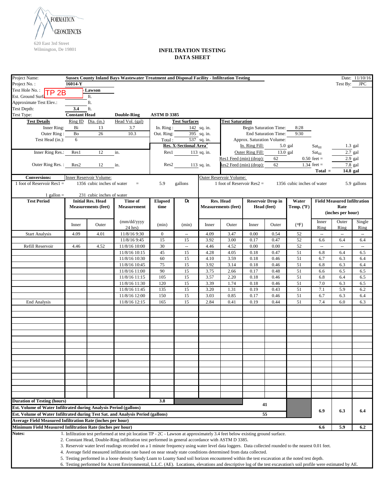

| Project Name:                                                                   |                      |                                                        | Sussex County Inland Bays Wastewater Treatment and Disposal Facility - Infiltration Testing                                                                       |                        |                                    |             |                                         |                               |                                         |                            |                                |                                            | Date: 11/10/16 |
|---------------------------------------------------------------------------------|----------------------|--------------------------------------------------------|-------------------------------------------------------------------------------------------------------------------------------------------------------------------|------------------------|------------------------------------|-------------|-----------------------------------------|-------------------------------|-----------------------------------------|----------------------------|--------------------------------|--------------------------------------------|----------------|
| Project No.:                                                                    | 16014-Y              |                                                        |                                                                                                                                                                   |                        |                                    |             |                                         |                               |                                         |                            |                                | Test By:                                   | <b>JPC</b>     |
| Test Hole No.: TP 2B<br>Est. Ground Surf                                        |                      | Lawson<br>ft.                                          |                                                                                                                                                                   |                        |                                    |             |                                         |                               |                                         |                            |                                |                                            |                |
| Approximate Test Elev.:                                                         |                      | ft.                                                    |                                                                                                                                                                   |                        |                                    |             |                                         |                               |                                         |                            |                                |                                            |                |
| Test Depth:                                                                     | 3.4                  | ft.                                                    |                                                                                                                                                                   |                        |                                    |             |                                         |                               |                                         |                            |                                |                                            |                |
| Test Type:                                                                      | <b>Constant Head</b> |                                                        | <b>Double-Ring</b>                                                                                                                                                | <b>ASTM D 3385</b>     |                                    |             |                                         |                               |                                         |                            |                                |                                            |                |
| <b>Test Details</b>                                                             |                      | Ring ID Dia. (in.)                                     | Head Vol. (gal)                                                                                                                                                   |                        | <b>Test Surfaces</b>               |             | <b>Test Saturation</b>                  |                               |                                         |                            |                                |                                            |                |
| Inner Ring:                                                                     | Bi                   | 13                                                     | 3.7                                                                                                                                                               | In. Ring:              |                                    | 142 sq. in. |                                         | <b>Begin Saturation Time:</b> |                                         | 8:28                       |                                |                                            |                |
| Outer Ring:                                                                     | $\rm Bo$             | 26                                                     | 10.3                                                                                                                                                              | Out. Ring:             |                                    | 395 sq. in. |                                         |                               | <b>End Saturation Time:</b>             | 9:30                       |                                |                                            |                |
| Test Head (in.):                                                                | 6                    |                                                        |                                                                                                                                                                   | Total:                 | Res. X-Sectional Area <sup>3</sup> | 537 sq. in. |                                         | Approx. Saturation Volume:    |                                         |                            |                                |                                            |                |
|                                                                                 |                      |                                                        |                                                                                                                                                                   |                        |                                    |             |                                         | In. Ring Fill:                |                                         | $5.0$ gal                  | $\text{Sat}_{\text{fill}}$     |                                            | $1.3$ gal      |
| Inner Ring Res.:                                                                | Res1                 | 12                                                     | in.                                                                                                                                                               | Res1                   |                                    | 113 sq. in. |                                         | Outer Ring Fill:              |                                         | 13.0 gal                   | $\text{Sat}_{\text{fill}}$     |                                            | 2.7 gal        |
| Outer Ring Res.:                                                                |                      | 12                                                     | in.                                                                                                                                                               |                        |                                    |             | Res1 Feed (min) (drop):                 | Res2 Feed (min) (drop):       | 62<br>62                                |                            | $0.50$ feet =<br>1.34 feet $=$ |                                            | $2.9$ gal      |
|                                                                                 | Res2                 |                                                        |                                                                                                                                                                   | Res2                   |                                    | 113 sq. in. |                                         |                               |                                         |                            | $Total =$                      | 14.8 gal                                   | 7.8 gal        |
| <b>Conversions:</b>                                                             |                      | Inner Reservoir Volume:                                |                                                                                                                                                                   |                        |                                    |             | Outer Reservoir Volume:                 |                               |                                         |                            |                                |                                            |                |
| 1 foot of Reservoir Res $1 =$                                                   |                      | 1356 cubic inches of water                             | $=$                                                                                                                                                               | 5.9                    | gallons                            |             | 1 foot of Reservoir $Res2 =$            |                               |                                         | 1356 cubic inches of water |                                |                                            | 5.9 gallons    |
| 1 gallon $=$                                                                    |                      | 231 cubic inches of water                              |                                                                                                                                                                   |                        |                                    |             |                                         |                               |                                         |                            |                                |                                            |                |
| <b>Test Period</b>                                                              |                      | <b>Initial Res. Head</b><br><b>Measurements (feet)</b> | Time of<br><b>Measurement</b>                                                                                                                                     | <b>Elapsed</b><br>time | Dt                                 |             | Res. Head<br><b>Measurements (feet)</b> |                               | <b>Reservoir Drop in</b><br>Head (feet) | Water<br>Temp. (°F)        |                                | <b>Field Measured Infiltration</b><br>Rate |                |
|                                                                                 |                      |                                                        |                                                                                                                                                                   |                        |                                    |             |                                         |                               |                                         |                            |                                | (inches per hour)                          |                |
|                                                                                 |                      |                                                        |                                                                                                                                                                   |                        |                                    |             |                                         |                               |                                         |                            |                                |                                            |                |
|                                                                                 | Inner                | Outer                                                  | (mm/dd/yyyy                                                                                                                                                       | (min)                  | (min)                              | Inner       | Outer                                   | Inner                         | Outer                                   | (°F)                       | Inner                          | Outer                                      | Single         |
| <b>Start Analysis</b>                                                           | 4.09                 | 4.01                                                   | $24$ hrs)<br>11/8/16 9:30                                                                                                                                         | $\overline{0}$         | $\overline{\phantom{a}}$           | 4.09        | 3.47                                    | 0.00                          | 0.54                                    | 52                         | Ring<br>$\mathbb{Z}^2$         | Ring<br>$\overline{\phantom{a}}$           | Ring<br>ω.     |
|                                                                                 |                      |                                                        | 11/8/16 9:45                                                                                                                                                      | 15                     | 15                                 | 3.92        | 3.00                                    | 0.17                          | 0.47                                    | 52                         | 6.6                            | 6.4                                        | 6.4            |
| Refill Reservoir                                                                | 4.46                 | 4.52                                                   | 11/8/16 10:00                                                                                                                                                     | 30                     | $\bar{\phantom{a}}$                | 4.46        | 4.52                                    | 0.00                          | 0.00                                    | 52                         | $\overline{\phantom{a}}$       | $\bar{\phantom{a}}$                        | ω.             |
|                                                                                 |                      |                                                        | 11/8/16 10:15                                                                                                                                                     | 45                     | 15                                 | 4.28        | 4.05                                    | 0.18                          | 0.47                                    | 51                         | 6.8                            | 6.4                                        | 6.5            |
|                                                                                 |                      |                                                        | 11/8/16 10:30                                                                                                                                                     | 60                     | 15                                 | 4.10        | 3.59                                    | 0.18                          | 0.46                                    | 51                         | 6.7                            | 6.3                                        | 6.4            |
|                                                                                 |                      |                                                        | 11/8/16 10:45                                                                                                                                                     | 75                     | 15                                 | 3.92        | 3.14                                    | 0.18                          | 0.46                                    | 51                         | 6.8                            | 6.3                                        | 6.4            |
|                                                                                 |                      |                                                        | 11/8/16 11:00                                                                                                                                                     | 90                     | 15                                 | 3.75        | 2.66                                    | 0.17                          | 0.48                                    | 51                         | 6.6                            | 6.5                                        | 6.5            |
|                                                                                 |                      |                                                        | 11/8/16 11:15                                                                                                                                                     | 105                    | 15                                 | 3.57        | 2.20                                    | 0.18                          | 0.46                                    | 51                         | 6.8                            | 6.4                                        | 6.5            |
|                                                                                 |                      |                                                        | 11/8/16 11:30                                                                                                                                                     | 120                    | 15                                 | 3.39        | 1.74                                    | 0.18                          | 0.46                                    | 51                         | 7.0                            | 6.3                                        | 6.5            |
|                                                                                 |                      |                                                        | 11/8/16 11:45                                                                                                                                                     | 135                    | 15                                 | 3.20        | 1.31                                    | 0.19                          | 0.43                                    | 51                         | 7.1                            | 5.9                                        | 6.2            |
|                                                                                 |                      |                                                        | 11/8/16 12:00                                                                                                                                                     | 150                    | 15                                 | 3.03        | 0.85                                    | 0.17                          | 0.46                                    | 51                         | 6.7                            | 6.3                                        | 6.4            |
| <b>End Analysis</b>                                                             |                      |                                                        | 11/8/16 12:15                                                                                                                                                     | 165                    | 15                                 | 2.84        | 0.41                                    | 0.19                          | 0.44                                    | 51                         | 7.4                            | 6.0                                        | 6.3            |
|                                                                                 |                      |                                                        |                                                                                                                                                                   |                        |                                    |             |                                         |                               |                                         |                            |                                |                                            |                |
|                                                                                 |                      |                                                        |                                                                                                                                                                   |                        |                                    |             |                                         |                               |                                         |                            |                                |                                            |                |
|                                                                                 |                      |                                                        |                                                                                                                                                                   |                        |                                    |             |                                         |                               |                                         |                            |                                |                                            |                |
|                                                                                 |                      |                                                        |                                                                                                                                                                   |                        |                                    |             |                                         |                               |                                         |                            |                                |                                            |                |
|                                                                                 |                      |                                                        |                                                                                                                                                                   |                        |                                    |             |                                         |                               |                                         |                            |                                |                                            |                |
|                                                                                 |                      |                                                        |                                                                                                                                                                   |                        |                                    |             |                                         |                               |                                         |                            |                                |                                            |                |
|                                                                                 |                      |                                                        |                                                                                                                                                                   |                        |                                    |             |                                         |                               |                                         |                            |                                |                                            |                |
|                                                                                 |                      |                                                        |                                                                                                                                                                   |                        |                                    |             |                                         |                               |                                         |                            |                                |                                            |                |
|                                                                                 |                      |                                                        |                                                                                                                                                                   |                        |                                    |             |                                         |                               |                                         |                            |                                |                                            |                |
|                                                                                 |                      |                                                        |                                                                                                                                                                   |                        |                                    |             |                                         |                               |                                         |                            |                                |                                            |                |
|                                                                                 |                      |                                                        |                                                                                                                                                                   |                        |                                    |             |                                         |                               |                                         |                            |                                |                                            |                |
|                                                                                 |                      |                                                        |                                                                                                                                                                   |                        |                                    |             |                                         |                               |                                         |                            |                                |                                            |                |
|                                                                                 |                      |                                                        |                                                                                                                                                                   |                        |                                    |             |                                         |                               |                                         |                            |                                |                                            |                |
| <b>Duration of Testing (hours)</b>                                              |                      |                                                        |                                                                                                                                                                   | 3.8                    |                                    |             |                                         |                               |                                         |                            |                                |                                            |                |
| Est. Volume of Water Infiltrated during Analysis Period (gallons)               |                      |                                                        |                                                                                                                                                                   |                        |                                    |             |                                         |                               | 41                                      |                            |                                |                                            |                |
| Est. Volume of Water Infiltrated during Test Sat. and Analysis Period (gallons) |                      |                                                        |                                                                                                                                                                   |                        |                                    |             |                                         |                               | 55                                      |                            | 6.9                            | 6.3                                        | 6.4            |
| <b>Average Field Measured Infiltration Rate (inches per hour)</b>               |                      |                                                        |                                                                                                                                                                   |                        |                                    |             |                                         |                               |                                         |                            |                                |                                            |                |
| Minimum Field Measured Infiltration Rate (inches per hour)                      |                      |                                                        |                                                                                                                                                                   |                        |                                    |             |                                         |                               |                                         |                            | 6.6                            | 5.9                                        | 6.2            |
| Notes:                                                                          |                      |                                                        | 1. Infiltration test performed at test pit location TP - 2C - Lawson at approximately 3.4 feet below existing ground surface.                                     |                        |                                    |             |                                         |                               |                                         |                            |                                |                                            |                |
|                                                                                 |                      |                                                        | 2. Constant Head, Double-Ring infiltration test performed in general accordance with ASTM D 3385.                                                                 |                        |                                    |             |                                         |                               |                                         |                            |                                |                                            |                |
|                                                                                 |                      |                                                        | 3. Reservoir water level readings recorded on a 1 minute frequency using water level data loggers. Data collected rounded to the nearest 0.01 feet.               |                        |                                    |             |                                         |                               |                                         |                            |                                |                                            |                |
|                                                                                 |                      |                                                        | 4. Average field measured infiltration rate based on near steady state conditions determined from data collected.                                                 |                        |                                    |             |                                         |                               |                                         |                            |                                |                                            |                |
|                                                                                 |                      |                                                        | 5. Testing performed in a loose density Sandy Loam to Loamy Sand soil horizon encountered within the test excavation at the noted test depth.                     |                        |                                    |             |                                         |                               |                                         |                            |                                |                                            |                |
|                                                                                 |                      |                                                        | 6. Testing performed for Accent Environmental, L.L.C. (AE). Locations, elevations and descriptive log of the test excavation's soil profile were estimated by AE. |                        |                                    |             |                                         |                               |                                         |                            |                                |                                            |                |